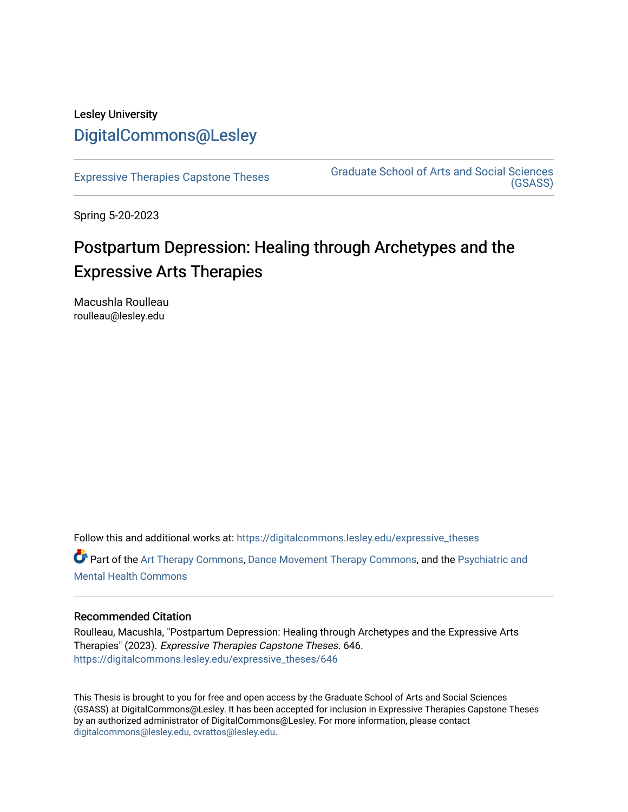# Lesley University [DigitalCommons@Lesley](https://digitalcommons.lesley.edu/)

[Expressive Therapies Capstone Theses](https://digitalcommons.lesley.edu/expressive_theses) Graduate School of Arts and Social Sciences [\(GSASS\)](https://digitalcommons.lesley.edu/gsass) 

Spring 5-20-2023

# Postpartum Depression: Healing through Archetypes and the Expressive Arts Therapies

Macushla Roulleau roulleau@lesley.edu

Follow this and additional works at: [https://digitalcommons.lesley.edu/expressive\\_theses](https://digitalcommons.lesley.edu/expressive_theses?utm_source=digitalcommons.lesley.edu%2Fexpressive_theses%2F646&utm_medium=PDF&utm_campaign=PDFCoverPages)

Part of the [Art Therapy Commons](https://network.bepress.com/hgg/discipline/1077?utm_source=digitalcommons.lesley.edu%2Fexpressive_theses%2F646&utm_medium=PDF&utm_campaign=PDFCoverPages), [Dance Movement Therapy Commons](https://network.bepress.com/hgg/discipline/1150?utm_source=digitalcommons.lesley.edu%2Fexpressive_theses%2F646&utm_medium=PDF&utm_campaign=PDFCoverPages), and the Psychiatric and [Mental Health Commons](https://network.bepress.com/hgg/discipline/711?utm_source=digitalcommons.lesley.edu%2Fexpressive_theses%2F646&utm_medium=PDF&utm_campaign=PDFCoverPages) 

### Recommended Citation

Roulleau, Macushla, "Postpartum Depression: Healing through Archetypes and the Expressive Arts Therapies" (2023). Expressive Therapies Capstone Theses. 646. [https://digitalcommons.lesley.edu/expressive\\_theses/646](https://digitalcommons.lesley.edu/expressive_theses/646?utm_source=digitalcommons.lesley.edu%2Fexpressive_theses%2F646&utm_medium=PDF&utm_campaign=PDFCoverPages)

This Thesis is brought to you for free and open access by the Graduate School of Arts and Social Sciences (GSASS) at DigitalCommons@Lesley. It has been accepted for inclusion in Expressive Therapies Capstone Theses by an authorized administrator of DigitalCommons@Lesley. For more information, please contact [digitalcommons@lesley.edu, cvrattos@lesley.edu](mailto:digitalcommons@lesley.edu,%20cvrattos@lesley.edu).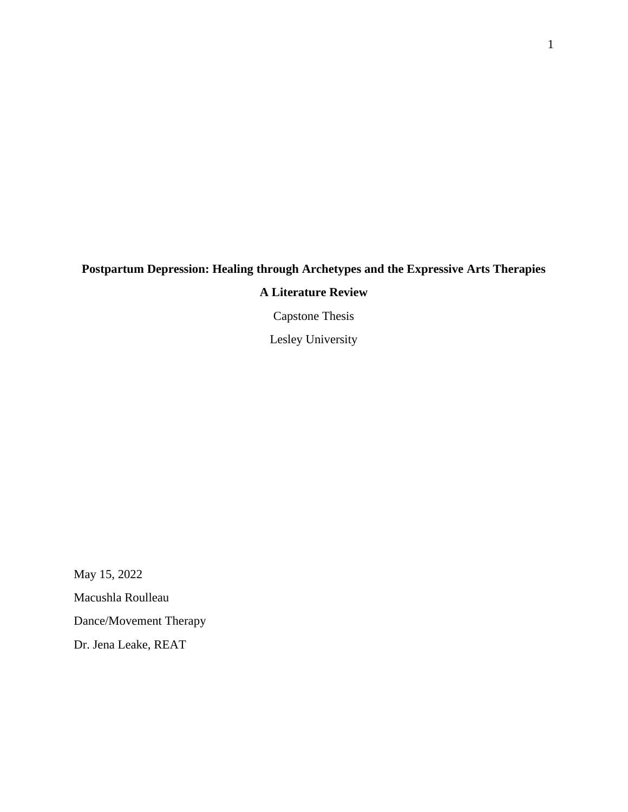# **Postpartum Depression: Healing through Archetypes and the Expressive Arts Therapies**

## **A Literature Review**

Capstone Thesis

Lesley University

May 15, 2022 Macushla Roulleau Dance/Movement Therapy Dr. Jena Leake, REAT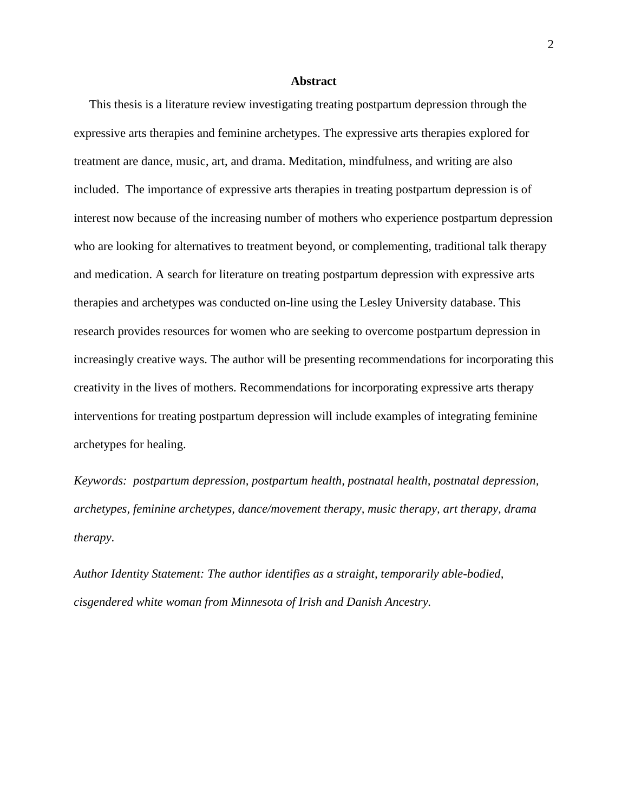#### **Abstract**

 This thesis is a literature review investigating treating postpartum depression through the expressive arts therapies and feminine archetypes. The expressive arts therapies explored for treatment are dance, music, art, and drama. Meditation, mindfulness, and writing are also included. The importance of expressive arts therapies in treating postpartum depression is of interest now because of the increasing number of mothers who experience postpartum depression who are looking for alternatives to treatment beyond, or complementing, traditional talk therapy and medication. A search for literature on treating postpartum depression with expressive arts therapies and archetypes was conducted on-line using the Lesley University database. This research provides resources for women who are seeking to overcome postpartum depression in increasingly creative ways. The author will be presenting recommendations for incorporating this creativity in the lives of mothers. Recommendations for incorporating expressive arts therapy interventions for treating postpartum depression will include examples of integrating feminine archetypes for healing.

*Keywords: postpartum depression, postpartum health, postnatal health, postnatal depression, archetypes, feminine archetypes, dance/movement therapy, music therapy, art therapy, drama therapy*.

*Author Identity Statement: The author identifies as a straight, temporarily able-bodied, cisgendered white woman from Minnesota of Irish and Danish Ancestry.*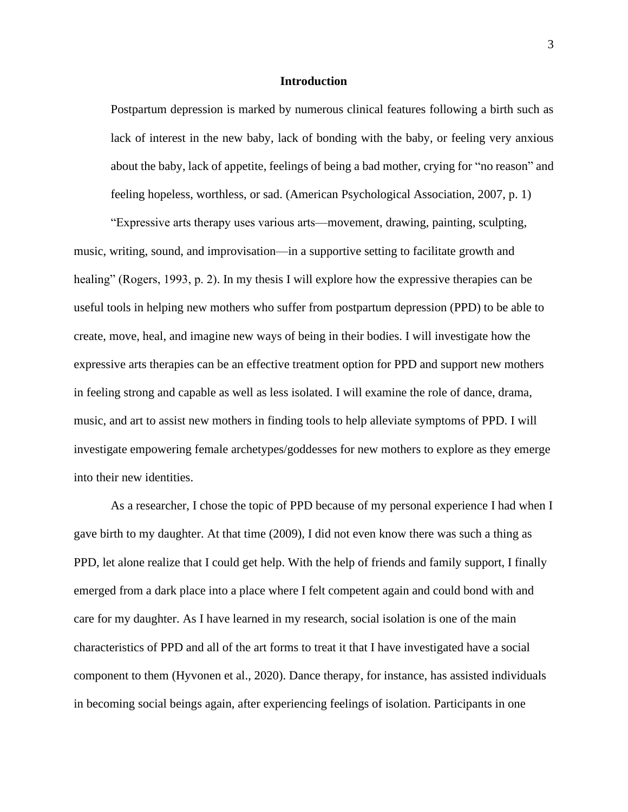#### **Introduction**

Postpartum depression is marked by numerous clinical features following a birth such as lack of interest in the new baby, lack of bonding with the baby, or feeling very anxious about the baby, lack of appetite, feelings of being a bad mother, crying for "no reason" and feeling hopeless, worthless, or sad. (American Psychological Association, 2007, p. 1)

"Expressive arts therapy uses various arts—movement, drawing, painting, sculpting, music, writing, sound, and improvisation—in a supportive setting to facilitate growth and healing" (Rogers, 1993, p. 2). In my thesis I will explore how the expressive therapies can be useful tools in helping new mothers who suffer from postpartum depression (PPD) to be able to create, move, heal, and imagine new ways of being in their bodies. I will investigate how the expressive arts therapies can be an effective treatment option for PPD and support new mothers in feeling strong and capable as well as less isolated. I will examine the role of dance, drama, music, and art to assist new mothers in finding tools to help alleviate symptoms of PPD. I will investigate empowering female archetypes/goddesses for new mothers to explore as they emerge into their new identities.

As a researcher, I chose the topic of PPD because of my personal experience I had when I gave birth to my daughter. At that time (2009), I did not even know there was such a thing as PPD, let alone realize that I could get help. With the help of friends and family support, I finally emerged from a dark place into a place where I felt competent again and could bond with and care for my daughter. As I have learned in my research, social isolation is one of the main characteristics of PPD and all of the art forms to treat it that I have investigated have a social component to them (Hyvonen et al., 2020). Dance therapy, for instance, has assisted individuals in becoming social beings again, after experiencing feelings of isolation. Participants in one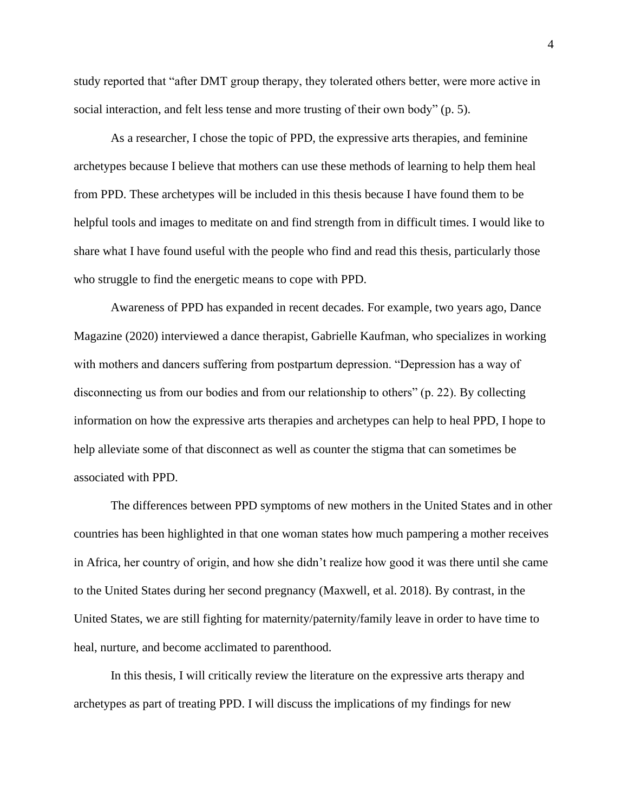study reported that "after DMT group therapy, they tolerated others better, were more active in social interaction, and felt less tense and more trusting of their own body" (p. 5).

As a researcher, I chose the topic of PPD, the expressive arts therapies, and feminine archetypes because I believe that mothers can use these methods of learning to help them heal from PPD. These archetypes will be included in this thesis because I have found them to be helpful tools and images to meditate on and find strength from in difficult times. I would like to share what I have found useful with the people who find and read this thesis, particularly those who struggle to find the energetic means to cope with PPD.

Awareness of PPD has expanded in recent decades. For example, two years ago, Dance Magazine (2020) interviewed a dance therapist, Gabrielle Kaufman, who specializes in working with mothers and dancers suffering from postpartum depression. "Depression has a way of disconnecting us from our bodies and from our relationship to others" (p. 22). By collecting information on how the expressive arts therapies and archetypes can help to heal PPD, I hope to help alleviate some of that disconnect as well as counter the stigma that can sometimes be associated with PPD.

The differences between PPD symptoms of new mothers in the United States and in other countries has been highlighted in that one woman states how much pampering a mother receives in Africa, her country of origin, and how she didn't realize how good it was there until she came to the United States during her second pregnancy (Maxwell, et al. 2018). By contrast, in the United States, we are still fighting for maternity/paternity/family leave in order to have time to heal, nurture, and become acclimated to parenthood.

In this thesis, I will critically review the literature on the expressive arts therapy and archetypes as part of treating PPD. I will discuss the implications of my findings for new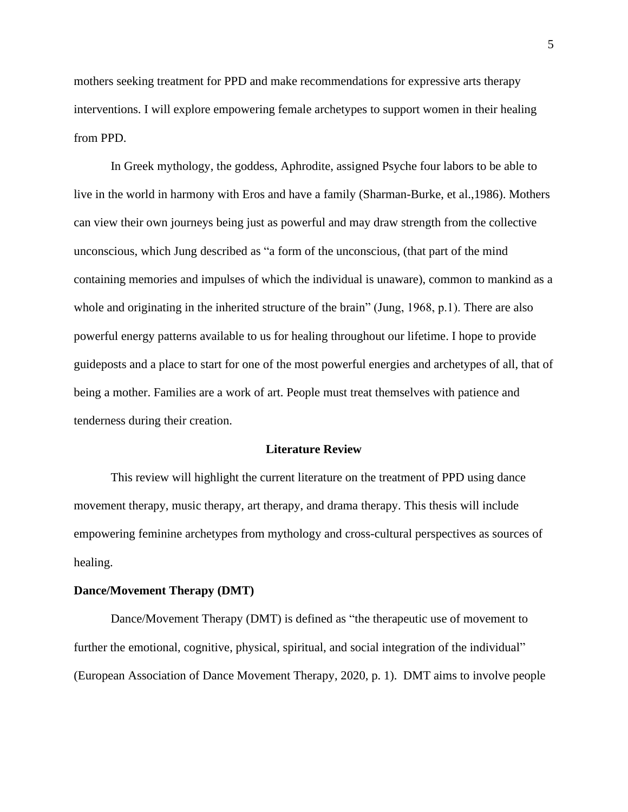mothers seeking treatment for PPD and make recommendations for expressive arts therapy interventions. I will explore empowering female archetypes to support women in their healing from PPD.

In Greek mythology, the goddess, Aphrodite, assigned Psyche four labors to be able to live in the world in harmony with Eros and have a family (Sharman-Burke, et al.,1986). Mothers can view their own journeys being just as powerful and may draw strength from the collective unconscious, which Jung described as "a form of the unconscious, (that part of the mind containing memories and impulses of which the individual is unaware), common to mankind as a whole and originating in the inherited structure of the brain" (Jung, 1968, p.1). There are also powerful energy patterns available to us for healing throughout our lifetime. I hope to provide guideposts and a place to start for one of the most powerful energies and archetypes of all, that of being a mother. Families are a work of art. People must treat themselves with patience and tenderness during their creation.

#### **Literature Review**

This review will highlight the current literature on the treatment of PPD using dance movement therapy, music therapy, art therapy, and drama therapy. This thesis will include empowering feminine archetypes from mythology and cross-cultural perspectives as sources of healing.

#### **Dance/Movement Therapy (DMT)**

Dance/Movement Therapy (DMT) is defined as "the therapeutic use of movement to further the emotional, cognitive, physical, spiritual, and social integration of the individual" (European Association of Dance Movement Therapy, 2020, p. 1). DMT aims to involve people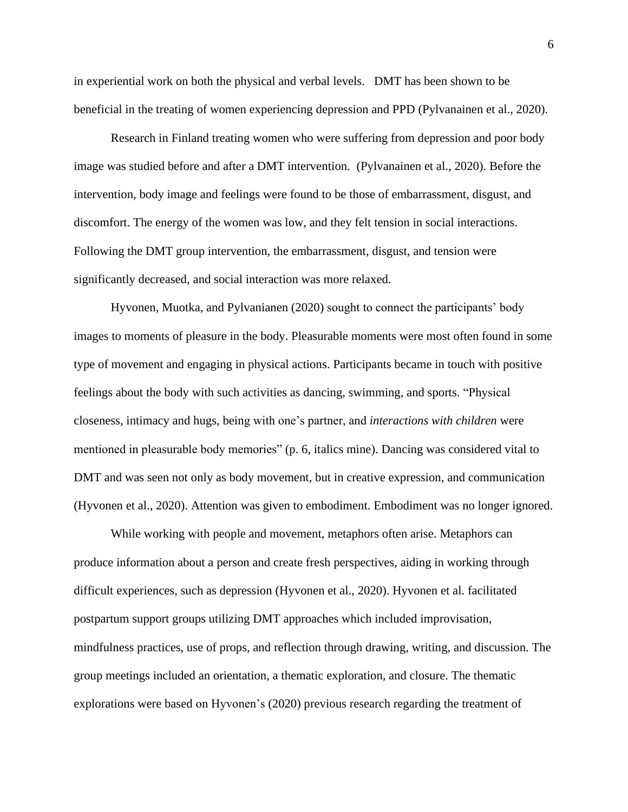in experiential work on both the physical and verbal levels. DMT has been shown to be beneficial in the treating of women experiencing depression and PPD (Pylvanainen et al., 2020).

Research in Finland treating women who were suffering from depression and poor body image was studied before and after a DMT intervention. (Pylvanainen et al., 2020). Before the intervention, body image and feelings were found to be those of embarrassment, disgust, and discomfort. The energy of the women was low, and they felt tension in social interactions. Following the DMT group intervention, the embarrassment, disgust, and tension were significantly decreased, and social interaction was more relaxed.

Hyvonen, Muotka, and Pylvanianen (2020) sought to connect the participants' body images to moments of pleasure in the body. Pleasurable moments were most often found in some type of movement and engaging in physical actions. Participants became in touch with positive feelings about the body with such activities as dancing, swimming, and sports. "Physical closeness, intimacy and hugs, being with one's partner, and *interactions with children* were mentioned in pleasurable body memories" (p. 6, italics mine). Dancing was considered vital to DMT and was seen not only as body movement, but in creative expression, and communication (Hyvonen et al., 2020). Attention was given to embodiment. Embodiment was no longer ignored.

While working with people and movement, metaphors often arise. Metaphors can produce information about a person and create fresh perspectives, aiding in working through difficult experiences, such as depression (Hyvonen et al., 2020). Hyvonen et al. facilitated postpartum support groups utilizing DMT approaches which included improvisation, mindfulness practices, use of props, and reflection through drawing, writing, and discussion. The group meetings included an orientation, a thematic exploration, and closure. The thematic explorations were based on Hyvonen's (2020) previous research regarding the treatment of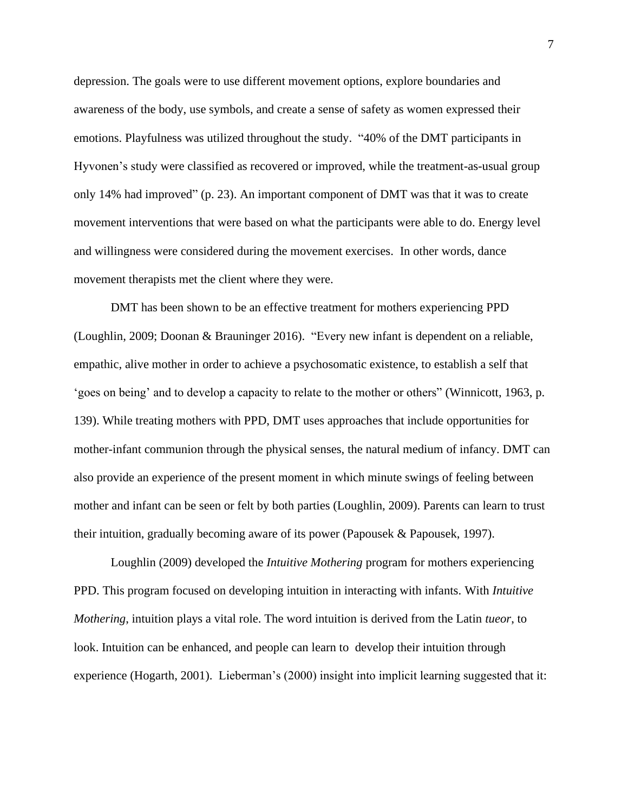depression. The goals were to use different movement options, explore boundaries and awareness of the body, use symbols, and create a sense of safety as women expressed their emotions. Playfulness was utilized throughout the study. "40% of the DMT participants in Hyvonen's study were classified as recovered or improved, while the treatment-as-usual group only 14% had improved" (p. 23). An important component of DMT was that it was to create movement interventions that were based on what the participants were able to do. Energy level and willingness were considered during the movement exercises. In other words, dance movement therapists met the client where they were.

DMT has been shown to be an effective treatment for mothers experiencing PPD (Loughlin, 2009; Doonan & Brauninger 2016). "Every new infant is dependent on a reliable, empathic, alive mother in order to achieve a psychosomatic existence, to establish a self that 'goes on being' and to develop a capacity to relate to the mother or others" (Winnicott, 1963, p. 139). While treating mothers with PPD, DMT uses approaches that include opportunities for mother-infant communion through the physical senses, the natural medium of infancy. DMT can also provide an experience of the present moment in which minute swings of feeling between mother and infant can be seen or felt by both parties (Loughlin, 2009). Parents can learn to trust their intuition, gradually becoming aware of its power (Papousek & Papousek, 1997).

Loughlin (2009) developed the *Intuitive Mothering* program for mothers experiencing PPD. This program focused on developing intuition in interacting with infants. With *Intuitive Mothering*, intuition plays a vital role. The word intuition is derived from the Latin *tueor*, to look. Intuition can be enhanced, and people can learn to develop their intuition through experience (Hogarth, 2001). Lieberman's (2000) insight into implicit learning suggested that it: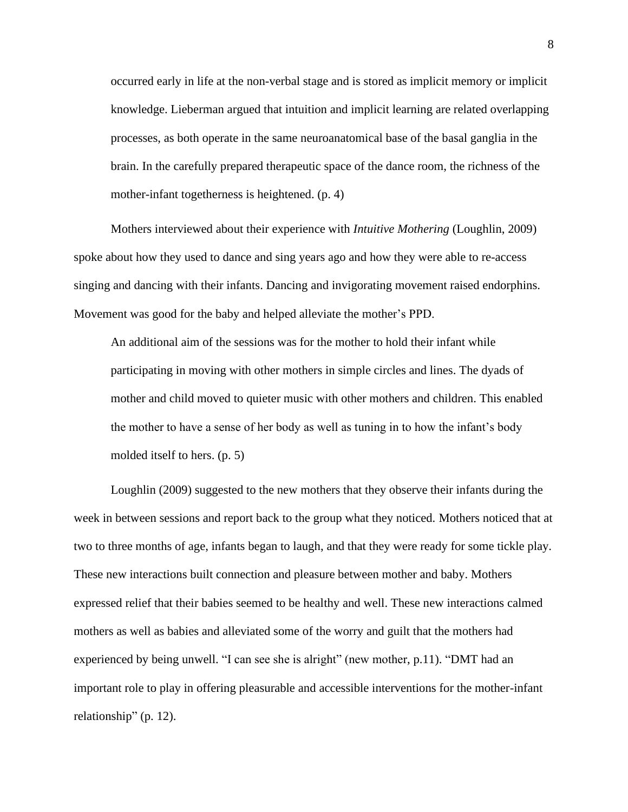occurred early in life at the non-verbal stage and is stored as implicit memory or implicit knowledge. Lieberman argued that intuition and implicit learning are related overlapping processes, as both operate in the same neuroanatomical base of the basal ganglia in the brain. In the carefully prepared therapeutic space of the dance room, the richness of the mother-infant togetherness is heightened. (p. 4)

Mothers interviewed about their experience with *Intuitive Mothering* (Loughlin, 2009) spoke about how they used to dance and sing years ago and how they were able to re-access singing and dancing with their infants. Dancing and invigorating movement raised endorphins. Movement was good for the baby and helped alleviate the mother's PPD.

An additional aim of the sessions was for the mother to hold their infant while participating in moving with other mothers in simple circles and lines. The dyads of mother and child moved to quieter music with other mothers and children. This enabled the mother to have a sense of her body as well as tuning in to how the infant's body molded itself to hers. (p. 5)

Loughlin (2009) suggested to the new mothers that they observe their infants during the week in between sessions and report back to the group what they noticed. Mothers noticed that at two to three months of age, infants began to laugh, and that they were ready for some tickle play. These new interactions built connection and pleasure between mother and baby. Mothers expressed relief that their babies seemed to be healthy and well. These new interactions calmed mothers as well as babies and alleviated some of the worry and guilt that the mothers had experienced by being unwell. "I can see she is alright" (new mother, p.11). "DMT had an important role to play in offering pleasurable and accessible interventions for the mother-infant relationship" (p. 12).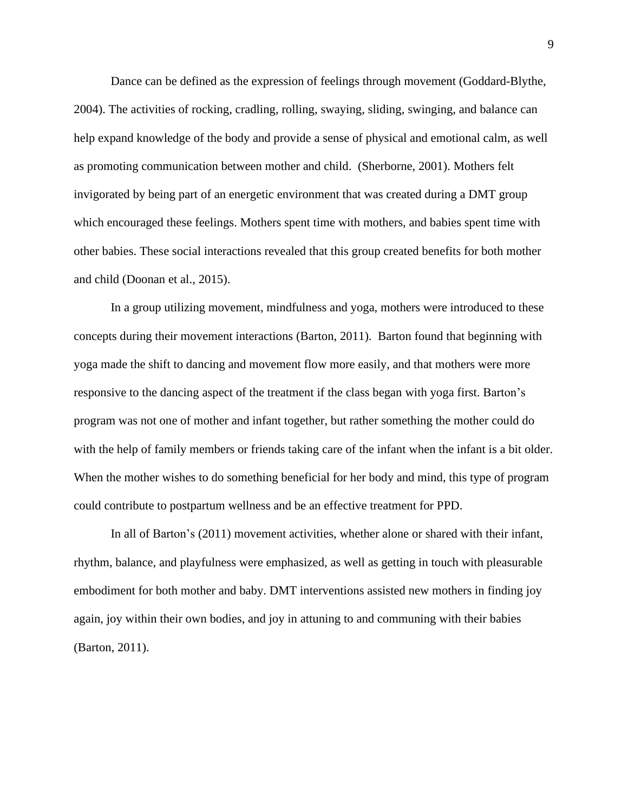Dance can be defined as the expression of feelings through movement (Goddard-Blythe, 2004). The activities of rocking, cradling, rolling, swaying, sliding, swinging, and balance can help expand knowledge of the body and provide a sense of physical and emotional calm, as well as promoting communication between mother and child. (Sherborne, 2001). Mothers felt invigorated by being part of an energetic environment that was created during a DMT group which encouraged these feelings. Mothers spent time with mothers, and babies spent time with other babies. These social interactions revealed that this group created benefits for both mother and child (Doonan et al., 2015).

In a group utilizing movement, mindfulness and yoga, mothers were introduced to these concepts during their movement interactions (Barton, 2011). Barton found that beginning with yoga made the shift to dancing and movement flow more easily, and that mothers were more responsive to the dancing aspect of the treatment if the class began with yoga first. Barton's program was not one of mother and infant together, but rather something the mother could do with the help of family members or friends taking care of the infant when the infant is a bit older. When the mother wishes to do something beneficial for her body and mind, this type of program could contribute to postpartum wellness and be an effective treatment for PPD.

In all of Barton's (2011) movement activities, whether alone or shared with their infant, rhythm, balance, and playfulness were emphasized, as well as getting in touch with pleasurable embodiment for both mother and baby. DMT interventions assisted new mothers in finding joy again, joy within their own bodies, and joy in attuning to and communing with their babies (Barton, 2011).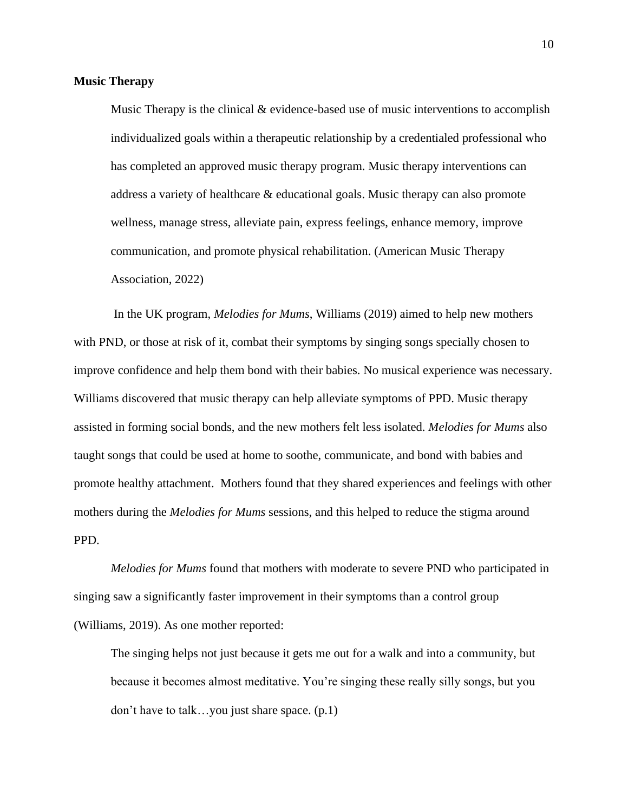#### **Music Therapy**

Music Therapy is the clinical & evidence-based use of music interventions to accomplish individualized goals within a therapeutic relationship by a credentialed professional who has completed an approved music therapy program. Music therapy interventions can address a variety of healthcare & educational goals. Music therapy can also promote wellness, manage stress, alleviate pain, express feelings, enhance memory, improve communication, and promote physical rehabilitation. (American Music Therapy Association, 2022)

In the UK program, *Melodies for Mums*, Williams (2019) aimed to help new mothers with PND, or those at risk of it, combat their symptoms by singing songs specially chosen to improve confidence and help them bond with their babies. No musical experience was necessary. Williams discovered that music therapy can help alleviate symptoms of PPD. Music therapy assisted in forming social bonds, and the new mothers felt less isolated. *Melodies for Mums* also taught songs that could be used at home to soothe, communicate, and bond with babies and promote healthy attachment. Mothers found that they shared experiences and feelings with other mothers during the *Melodies for Mums* sessions, and this helped to reduce the stigma around PPD.

*Melodies for Mums* found that mothers with moderate to severe PND who participated in singing saw a significantly faster improvement in their symptoms than a control group (Williams, 2019). As one mother reported:

The singing helps not just because it gets me out for a walk and into a community, but because it becomes almost meditative. You're singing these really silly songs, but you don't have to talk…you just share space. (p.1)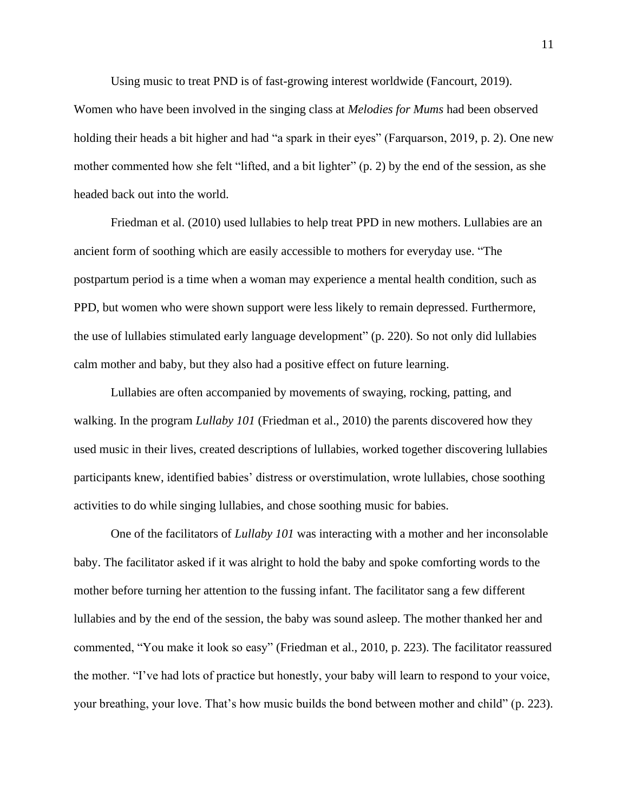Using music to treat PND is of fast-growing interest worldwide (Fancourt, 2019).

Women who have been involved in the singing class at *Melodies for Mums* had been observed holding their heads a bit higher and had "a spark in their eyes" (Farquarson, 2019, p. 2). One new mother commented how she felt "lifted, and a bit lighter" (p. 2) by the end of the session, as she headed back out into the world.

Friedman et al. (2010) used lullabies to help treat PPD in new mothers. Lullabies are an ancient form of soothing which are easily accessible to mothers for everyday use. "The postpartum period is a time when a woman may experience a mental health condition, such as PPD, but women who were shown support were less likely to remain depressed. Furthermore, the use of lullabies stimulated early language development" (p. 220). So not only did lullabies calm mother and baby, but they also had a positive effect on future learning.

Lullabies are often accompanied by movements of swaying, rocking, patting, and walking. In the program *Lullaby 101* (Friedman et al., 2010) the parents discovered how they used music in their lives, created descriptions of lullabies, worked together discovering lullabies participants knew, identified babies' distress or overstimulation, wrote lullabies, chose soothing activities to do while singing lullabies, and chose soothing music for babies.

One of the facilitators of *Lullaby 101* was interacting with a mother and her inconsolable baby. The facilitator asked if it was alright to hold the baby and spoke comforting words to the mother before turning her attention to the fussing infant. The facilitator sang a few different lullabies and by the end of the session, the baby was sound asleep. The mother thanked her and commented, "You make it look so easy" (Friedman et al., 2010, p. 223). The facilitator reassured the mother. "I've had lots of practice but honestly, your baby will learn to respond to your voice, your breathing, your love. That's how music builds the bond between mother and child" (p. 223).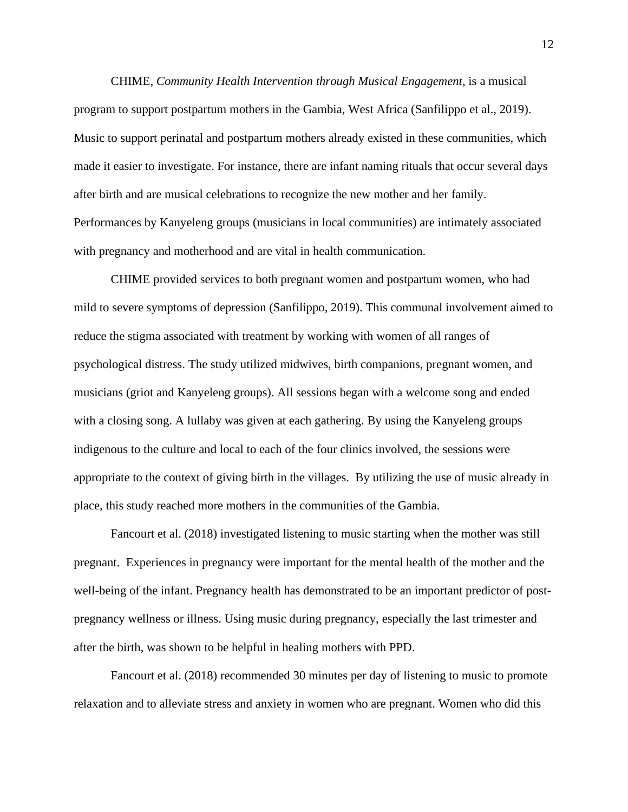CHIME, *Community Health Intervention through Musical Engagement*, is a musical program to support postpartum mothers in the Gambia, West Africa (Sanfilippo et al., 2019). Music to support perinatal and postpartum mothers already existed in these communities, which made it easier to investigate. For instance, there are infant naming rituals that occur several days after birth and are musical celebrations to recognize the new mother and her family. Performances by Kanyeleng groups (musicians in local communities) are intimately associated with pregnancy and motherhood and are vital in health communication.

CHIME provided services to both pregnant women and postpartum women, who had mild to severe symptoms of depression (Sanfilippo, 2019). This communal involvement aimed to reduce the stigma associated with treatment by working with women of all ranges of psychological distress. The study utilized midwives, birth companions, pregnant women, and musicians (griot and Kanyeleng groups). All sessions began with a welcome song and ended with a closing song. A lullaby was given at each gathering. By using the Kanyeleng groups indigenous to the culture and local to each of the four clinics involved, the sessions were appropriate to the context of giving birth in the villages. By utilizing the use of music already in place, this study reached more mothers in the communities of the Gambia.

Fancourt et al. (2018) investigated listening to music starting when the mother was still pregnant. Experiences in pregnancy were important for the mental health of the mother and the well-being of the infant. Pregnancy health has demonstrated to be an important predictor of postpregnancy wellness or illness. Using music during pregnancy, especially the last trimester and after the birth, was shown to be helpful in healing mothers with PPD.

Fancourt et al. (2018) recommended 30 minutes per day of listening to music to promote relaxation and to alleviate stress and anxiety in women who are pregnant. Women who did this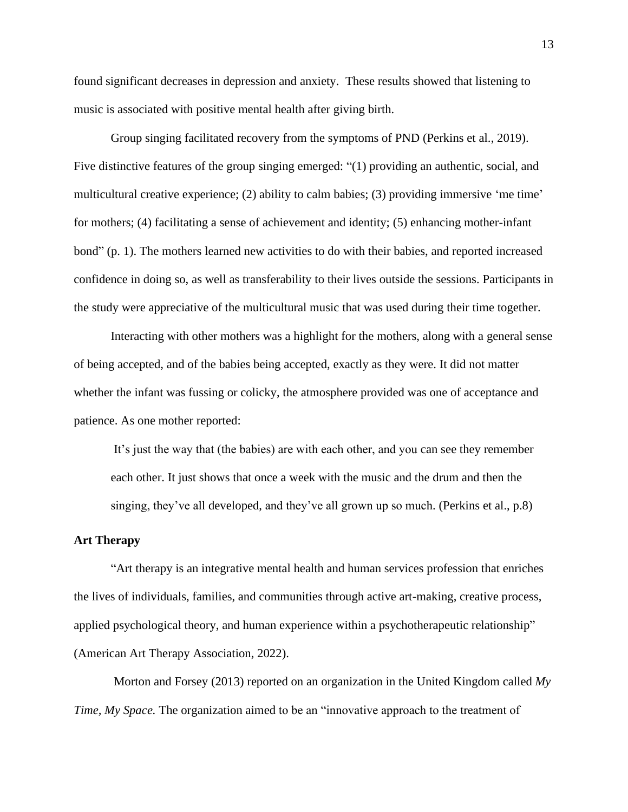found significant decreases in depression and anxiety. These results showed that listening to music is associated with positive mental health after giving birth.

Group singing facilitated recovery from the symptoms of PND (Perkins et al., 2019). Five distinctive features of the group singing emerged: "(1) providing an authentic, social, and multicultural creative experience; (2) ability to calm babies; (3) providing immersive 'me time' for mothers; (4) facilitating a sense of achievement and identity; (5) enhancing mother-infant bond" (p. 1). The mothers learned new activities to do with their babies, and reported increased confidence in doing so, as well as transferability to their lives outside the sessions. Participants in the study were appreciative of the multicultural music that was used during their time together.

Interacting with other mothers was a highlight for the mothers, along with a general sense of being accepted, and of the babies being accepted, exactly as they were. It did not matter whether the infant was fussing or colicky, the atmosphere provided was one of acceptance and patience. As one mother reported:

It's just the way that (the babies) are with each other, and you can see they remember each other. It just shows that once a week with the music and the drum and then the singing, they've all developed, and they've all grown up so much. (Perkins et al., p.8)

#### **Art Therapy**

"Art therapy is an integrative mental health and human services profession that enriches the lives of individuals, families, and communities through active art-making, creative process, applied psychological theory, and human experience within a psychotherapeutic relationship" (American Art Therapy Association, 2022).

Morton and Forsey (2013) reported on an organization in the United Kingdom called *My Time, My Space.* The organization aimed to be an "innovative approach to the treatment of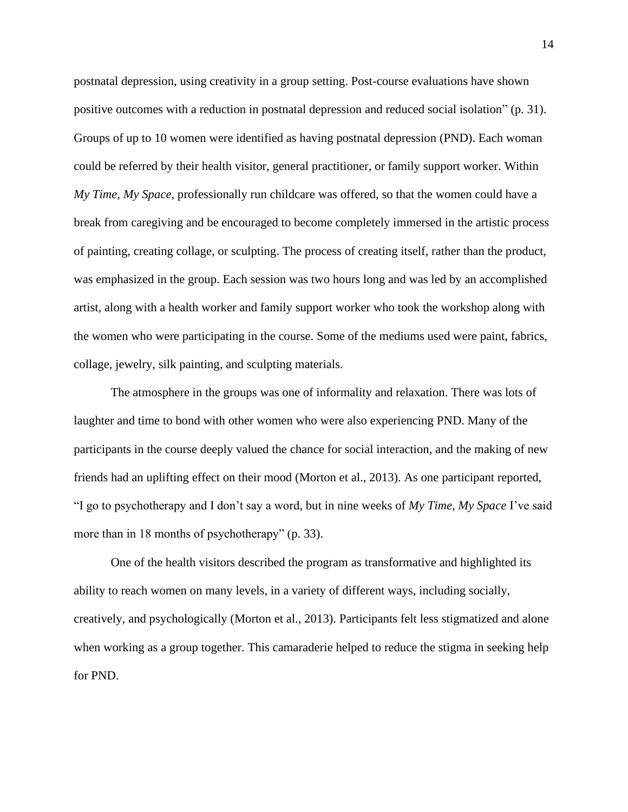postnatal depression, using creativity in a group setting. Post-course evaluations have shown positive outcomes with a reduction in postnatal depression and reduced social isolation" (p. 31). Groups of up to 10 women were identified as having postnatal depression (PND). Each woman could be referred by their health visitor, general practitioner, or family support worker. Within *My Time, My Space*, professionally run childcare was offered, so that the women could have a break from caregiving and be encouraged to become completely immersed in the artistic process of painting, creating collage, or sculpting. The process of creating itself, rather than the product, was emphasized in the group. Each session was two hours long and was led by an accomplished artist, along with a health worker and family support worker who took the workshop along with the women who were participating in the course. Some of the mediums used were paint, fabrics, collage, jewelry, silk painting, and sculpting materials.

The atmosphere in the groups was one of informality and relaxation. There was lots of laughter and time to bond with other women who were also experiencing PND. Many of the participants in the course deeply valued the chance for social interaction, and the making of new friends had an uplifting effect on their mood (Morton et al., 2013). As one participant reported, "I go to psychotherapy and I don't say a word, but in nine weeks of *My Time, My Space* I've said more than in 18 months of psychotherapy" (p. 33).

One of the health visitors described the program as transformative and highlighted its ability to reach women on many levels, in a variety of different ways, including socially, creatively, and psychologically (Morton et al., 2013). Participants felt less stigmatized and alone when working as a group together. This camaraderie helped to reduce the stigma in seeking help for PND.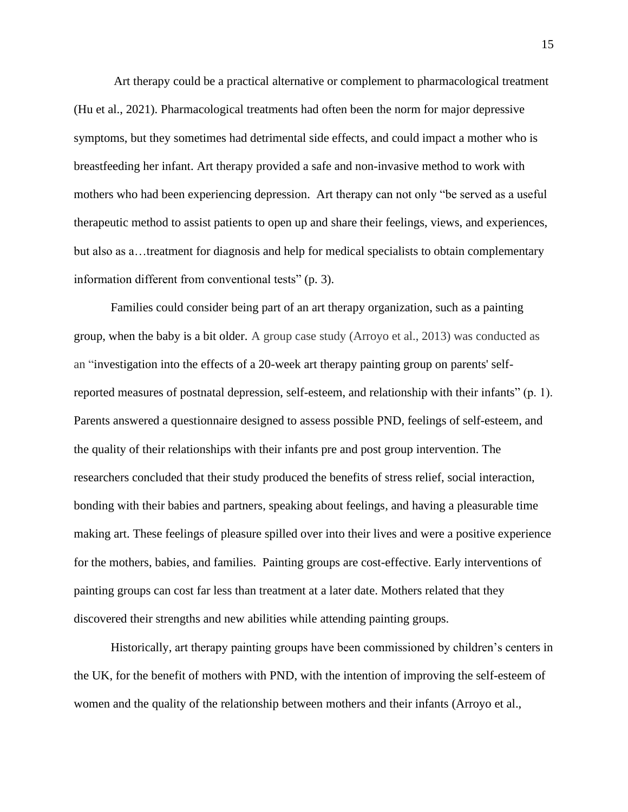Art therapy could be a practical alternative or complement to pharmacological treatment (Hu et al., 2021). Pharmacological treatments had often been the norm for major depressive symptoms, but they sometimes had detrimental side effects, and could impact a mother who is breastfeeding her infant. Art therapy provided a safe and non-invasive method to work with mothers who had been experiencing depression. Art therapy can not only "be served as a useful therapeutic method to assist patients to open up and share their feelings, views, and experiences, but also as a…treatment for diagnosis and help for medical specialists to obtain complementary information different from conventional tests" (p. 3).

Families could consider being part of an art therapy organization, such as a painting group, when the baby is a bit older. A group case study (Arroyo et al., 2013) was conducted as an "investigation into the effects of a 20-week art therapy painting group on parents' selfreported measures of postnatal depression, self-esteem, and relationship with their infants" (p. 1). Parents answered a questionnaire designed to assess possible PND, feelings of self-esteem, and the quality of their relationships with their infants pre and post group intervention. The researchers concluded that their study produced the benefits of stress relief, social interaction, bonding with their babies and partners, speaking about feelings, and having a pleasurable time making art. These feelings of pleasure spilled over into their lives and were a positive experience for the mothers, babies, and families. Painting groups are cost-effective. Early interventions of painting groups can cost far less than treatment at a later date. Mothers related that they discovered their strengths and new abilities while attending painting groups.

Historically, art therapy painting groups have been commissioned by children's centers in the UK, for the benefit of mothers with PND, with the intention of improving the self-esteem of women and the quality of the relationship between mothers and their infants (Arroyo et al.,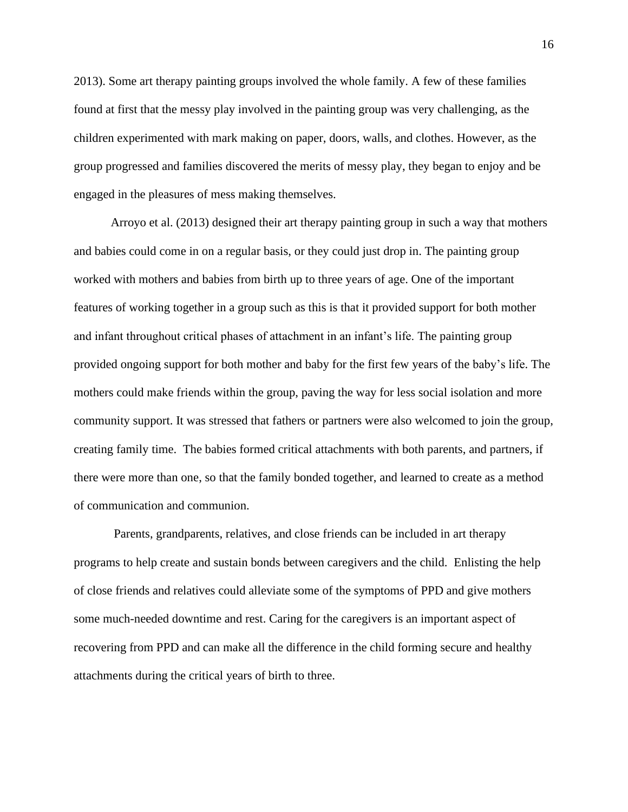2013). Some art therapy painting groups involved the whole family. A few of these families found at first that the messy play involved in the painting group was very challenging, as the children experimented with mark making on paper, doors, walls, and clothes. However, as the group progressed and families discovered the merits of messy play, they began to enjoy and be engaged in the pleasures of mess making themselves.

Arroyo et al. (2013) designed their art therapy painting group in such a way that mothers and babies could come in on a regular basis, or they could just drop in. The painting group worked with mothers and babies from birth up to three years of age. One of the important features of working together in a group such as this is that it provided support for both mother and infant throughout critical phases of attachment in an infant's life. The painting group provided ongoing support for both mother and baby for the first few years of the baby's life. The mothers could make friends within the group, paving the way for less social isolation and more community support. It was stressed that fathers or partners were also welcomed to join the group, creating family time. The babies formed critical attachments with both parents, and partners, if there were more than one, so that the family bonded together, and learned to create as a method of communication and communion.

Parents, grandparents, relatives, and close friends can be included in art therapy programs to help create and sustain bonds between caregivers and the child. Enlisting the help of close friends and relatives could alleviate some of the symptoms of PPD and give mothers some much-needed downtime and rest. Caring for the caregivers is an important aspect of recovering from PPD and can make all the difference in the child forming secure and healthy attachments during the critical years of birth to three.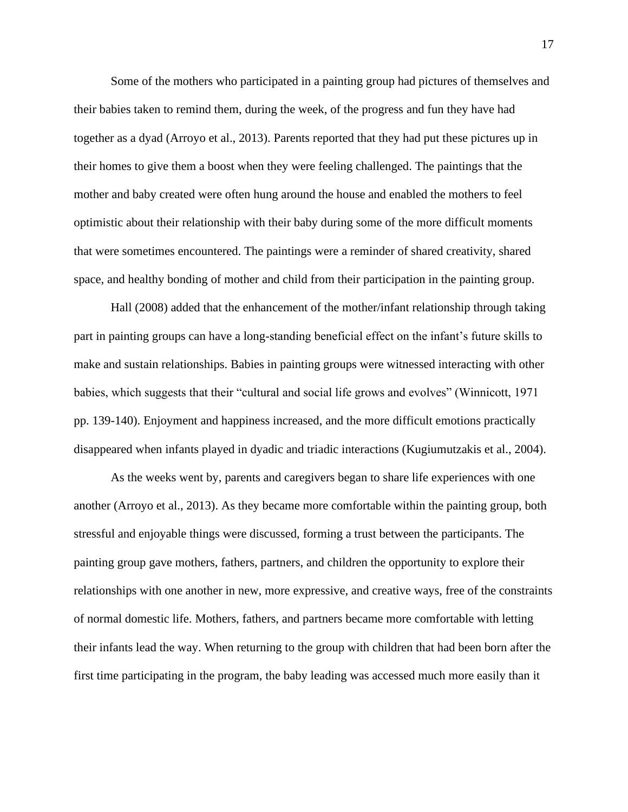Some of the mothers who participated in a painting group had pictures of themselves and their babies taken to remind them, during the week, of the progress and fun they have had together as a dyad (Arroyo et al., 2013). Parents reported that they had put these pictures up in their homes to give them a boost when they were feeling challenged. The paintings that the mother and baby created were often hung around the house and enabled the mothers to feel optimistic about their relationship with their baby during some of the more difficult moments that were sometimes encountered. The paintings were a reminder of shared creativity, shared space, and healthy bonding of mother and child from their participation in the painting group.

Hall (2008) added that the enhancement of the mother/infant relationship through taking part in painting groups can have a long-standing beneficial effect on the infant's future skills to make and sustain relationships. Babies in painting groups were witnessed interacting with other babies, which suggests that their "cultural and social life grows and evolves" (Winnicott, 1971 pp. 139-140). Enjoyment and happiness increased, and the more difficult emotions practically disappeared when infants played in dyadic and triadic interactions (Kugiumutzakis et al., 2004).

As the weeks went by, parents and caregivers began to share life experiences with one another (Arroyo et al., 2013). As they became more comfortable within the painting group, both stressful and enjoyable things were discussed, forming a trust between the participants. The painting group gave mothers, fathers, partners, and children the opportunity to explore their relationships with one another in new, more expressive, and creative ways, free of the constraints of normal domestic life. Mothers, fathers, and partners became more comfortable with letting their infants lead the way. When returning to the group with children that had been born after the first time participating in the program, the baby leading was accessed much more easily than it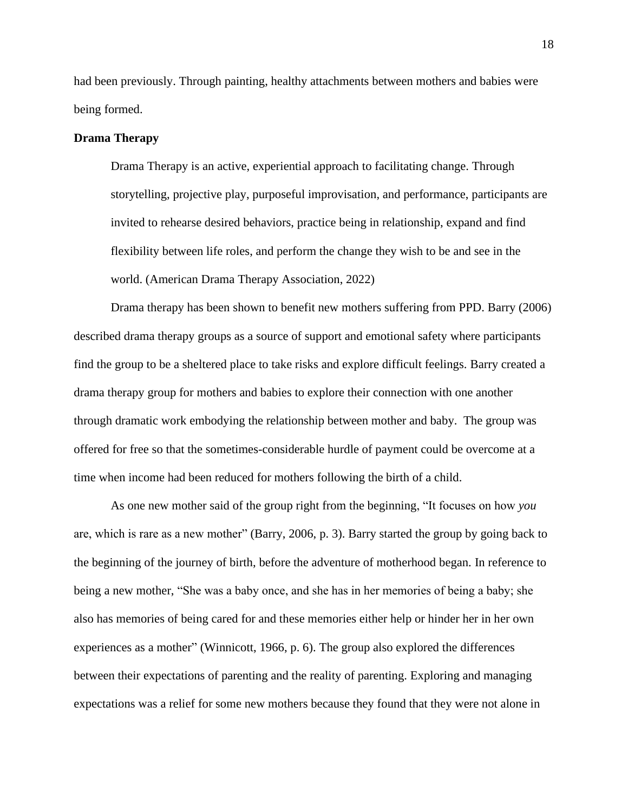had been previously. Through painting, healthy attachments between mothers and babies were being formed.

#### **Drama Therapy**

Drama Therapy is an active, experiential approach to facilitating change. Through storytelling, projective play, purposeful improvisation, and performance, participants are invited to rehearse desired behaviors, practice being in relationship, expand and find flexibility between life roles, and perform the change they wish to be and see in the world. (American Drama Therapy Association, 2022)

Drama therapy has been shown to benefit new mothers suffering from PPD. Barry (2006) described drama therapy groups as a source of support and emotional safety where participants find the group to be a sheltered place to take risks and explore difficult feelings. Barry created a drama therapy group for mothers and babies to explore their connection with one another through dramatic work embodying the relationship between mother and baby. The group was offered for free so that the sometimes-considerable hurdle of payment could be overcome at a time when income had been reduced for mothers following the birth of a child.

As one new mother said of the group right from the beginning, "It focuses on how *you* are, which is rare as a new mother" (Barry, 2006, p. 3). Barry started the group by going back to the beginning of the journey of birth, before the adventure of motherhood began. In reference to being a new mother, "She was a baby once, and she has in her memories of being a baby; she also has memories of being cared for and these memories either help or hinder her in her own experiences as a mother" (Winnicott, 1966, p. 6). The group also explored the differences between their expectations of parenting and the reality of parenting. Exploring and managing expectations was a relief for some new mothers because they found that they were not alone in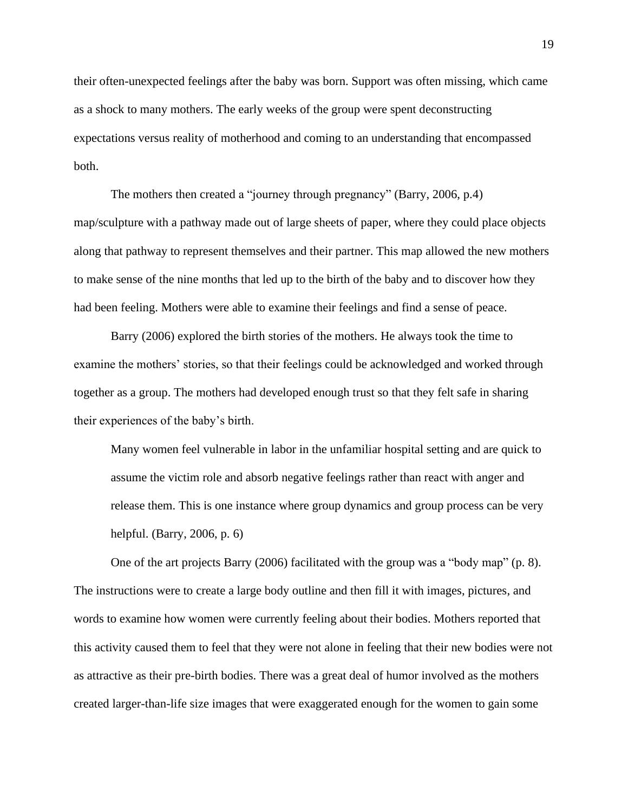their often-unexpected feelings after the baby was born. Support was often missing, which came as a shock to many mothers. The early weeks of the group were spent deconstructing expectations versus reality of motherhood and coming to an understanding that encompassed both.

The mothers then created a "journey through pregnancy" (Barry, 2006, p.4) map/sculpture with a pathway made out of large sheets of paper, where they could place objects along that pathway to represent themselves and their partner. This map allowed the new mothers to make sense of the nine months that led up to the birth of the baby and to discover how they had been feeling. Mothers were able to examine their feelings and find a sense of peace.

Barry (2006) explored the birth stories of the mothers. He always took the time to examine the mothers' stories, so that their feelings could be acknowledged and worked through together as a group. The mothers had developed enough trust so that they felt safe in sharing their experiences of the baby's birth.

Many women feel vulnerable in labor in the unfamiliar hospital setting and are quick to assume the victim role and absorb negative feelings rather than react with anger and release them. This is one instance where group dynamics and group process can be very helpful. (Barry, 2006, p. 6)

One of the art projects Barry (2006) facilitated with the group was a "body map" (p. 8). The instructions were to create a large body outline and then fill it with images, pictures, and words to examine how women were currently feeling about their bodies. Mothers reported that this activity caused them to feel that they were not alone in feeling that their new bodies were not as attractive as their pre-birth bodies. There was a great deal of humor involved as the mothers created larger-than-life size images that were exaggerated enough for the women to gain some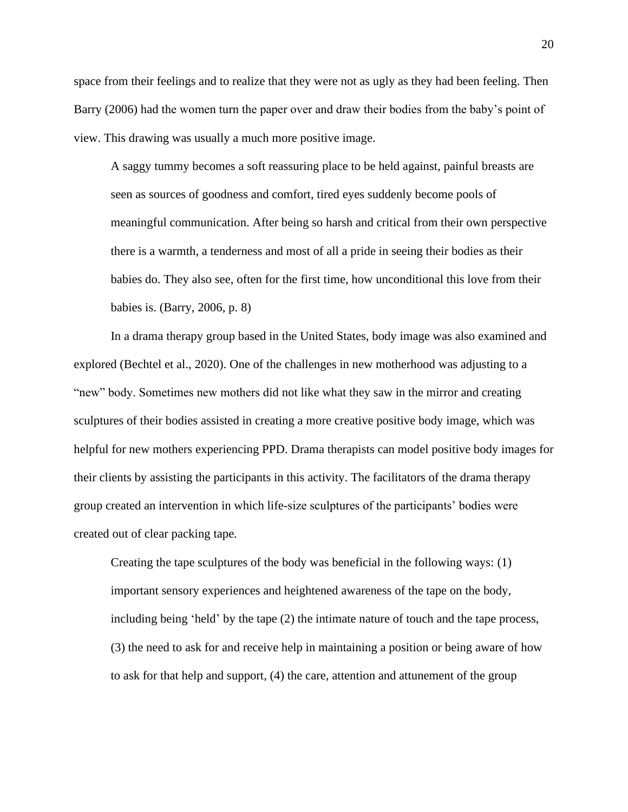space from their feelings and to realize that they were not as ugly as they had been feeling. Then Barry (2006) had the women turn the paper over and draw their bodies from the baby's point of view. This drawing was usually a much more positive image.

A saggy tummy becomes a soft reassuring place to be held against, painful breasts are seen as sources of goodness and comfort, tired eyes suddenly become pools of meaningful communication. After being so harsh and critical from their own perspective there is a warmth, a tenderness and most of all a pride in seeing their bodies as their babies do. They also see, often for the first time, how unconditional this love from their babies is. (Barry, 2006, p. 8)

In a drama therapy group based in the United States, body image was also examined and explored (Bechtel et al., 2020). One of the challenges in new motherhood was adjusting to a "new" body. Sometimes new mothers did not like what they saw in the mirror and creating sculptures of their bodies assisted in creating a more creative positive body image, which was helpful for new mothers experiencing PPD. Drama therapists can model positive body images for their clients by assisting the participants in this activity. The facilitators of the drama therapy group created an intervention in which life-size sculptures of the participants' bodies were created out of clear packing tape.

Creating the tape sculptures of the body was beneficial in the following ways: (1) important sensory experiences and heightened awareness of the tape on the body, including being 'held' by the tape (2) the intimate nature of touch and the tape process, (3) the need to ask for and receive help in maintaining a position or being aware of how to ask for that help and support, (4) the care, attention and attunement of the group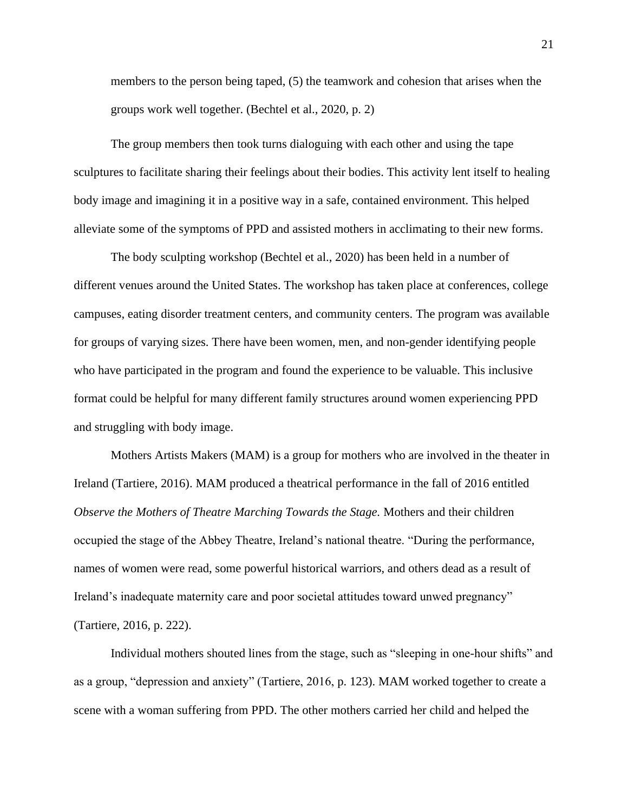members to the person being taped, (5) the teamwork and cohesion that arises when the groups work well together. (Bechtel et al., 2020, p. 2)

The group members then took turns dialoguing with each other and using the tape sculptures to facilitate sharing their feelings about their bodies. This activity lent itself to healing body image and imagining it in a positive way in a safe, contained environment. This helped alleviate some of the symptoms of PPD and assisted mothers in acclimating to their new forms.

The body sculpting workshop (Bechtel et al., 2020) has been held in a number of different venues around the United States. The workshop has taken place at conferences, college campuses, eating disorder treatment centers, and community centers. The program was available for groups of varying sizes. There have been women, men, and non-gender identifying people who have participated in the program and found the experience to be valuable. This inclusive format could be helpful for many different family structures around women experiencing PPD and struggling with body image.

Mothers Artists Makers (MAM) is a group for mothers who are involved in the theater in Ireland (Tartiere, 2016). MAM produced a theatrical performance in the fall of 2016 entitled *Observe the Mothers of Theatre Marching Towards the Stage.* Mothers and their children occupied the stage of the Abbey Theatre, Ireland's national theatre. "During the performance, names of women were read, some powerful historical warriors, and others dead as a result of Ireland's inadequate maternity care and poor societal attitudes toward unwed pregnancy" (Tartiere, 2016, p. 222).

Individual mothers shouted lines from the stage, such as "sleeping in one-hour shifts" and as a group, "depression and anxiety" (Tartiere, 2016, p. 123). MAM worked together to create a scene with a woman suffering from PPD. The other mothers carried her child and helped the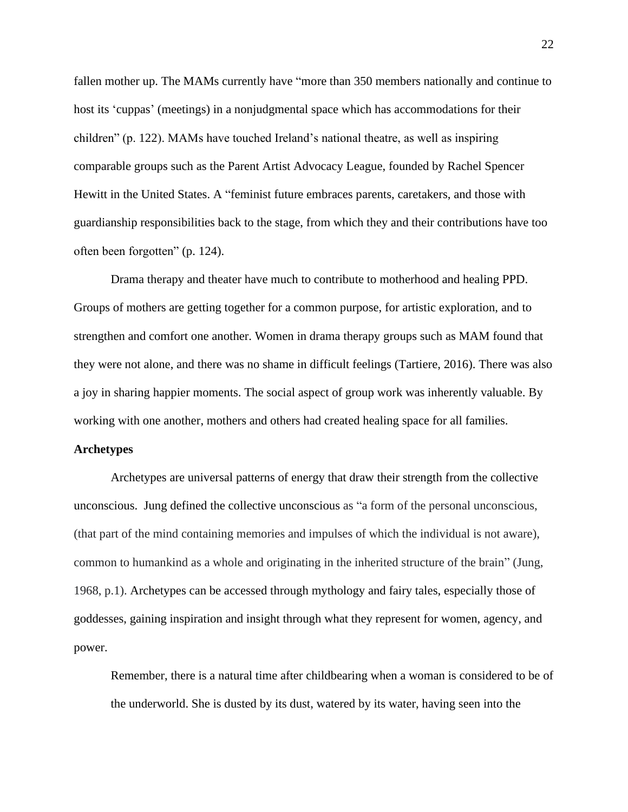fallen mother up. The MAMs currently have "more than 350 members nationally and continue to host its 'cuppas' (meetings) in a nonjudgmental space which has accommodations for their children" (p. 122). MAMs have touched Ireland's national theatre, as well as inspiring comparable groups such as the Parent Artist Advocacy League, founded by Rachel Spencer Hewitt in the United States. A "feminist future embraces parents, caretakers, and those with guardianship responsibilities back to the stage, from which they and their contributions have too often been forgotten" (p. 124).

Drama therapy and theater have much to contribute to motherhood and healing PPD. Groups of mothers are getting together for a common purpose, for artistic exploration, and to strengthen and comfort one another. Women in drama therapy groups such as MAM found that they were not alone, and there was no shame in difficult feelings (Tartiere, 2016). There was also a joy in sharing happier moments. The social aspect of group work was inherently valuable. By working with one another, mothers and others had created healing space for all families.

#### **Archetypes**

Archetypes are universal patterns of energy that draw their strength from the collective unconscious. Jung defined the collective unconscious as "a form of the personal unconscious, (that part of the mind containing memories and impulses of which the individual is not aware), common to humankind as a whole and originating in the inherited structure of the brain" (Jung, 1968, p.1). Archetypes can be accessed through mythology and fairy tales, especially those of goddesses, gaining inspiration and insight through what they represent for women, agency, and power.

Remember, there is a natural time after childbearing when a woman is considered to be of the underworld. She is dusted by its dust, watered by its water, having seen into the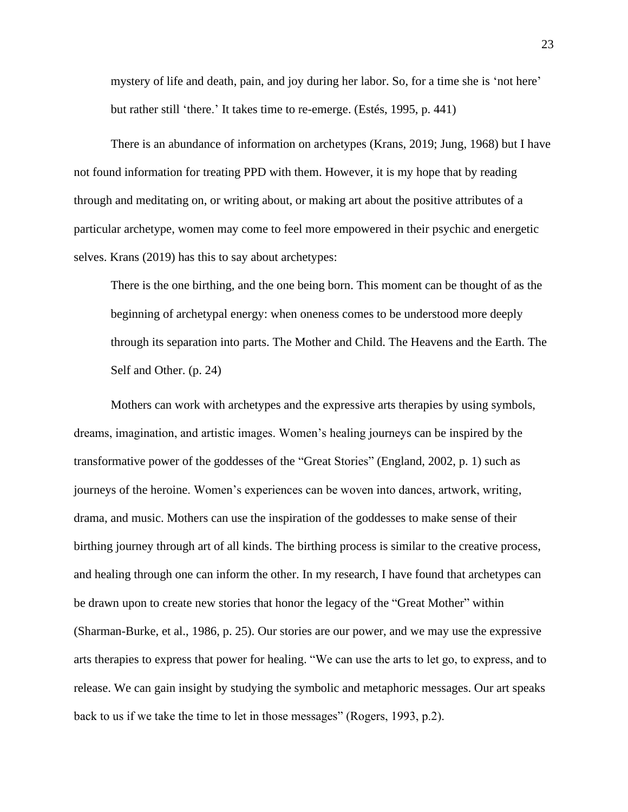mystery of life and death, pain, and joy during her labor. So, for a time she is 'not here' but rather still 'there.' It takes time to re-emerge. (Estés, 1995, p. 441)

There is an abundance of information on archetypes (Krans, 2019; Jung, 1968) but I have not found information for treating PPD with them. However, it is my hope that by reading through and meditating on, or writing about, or making art about the positive attributes of a particular archetype, women may come to feel more empowered in their psychic and energetic selves. Krans (2019) has this to say about archetypes:

There is the one birthing, and the one being born. This moment can be thought of as the beginning of archetypal energy: when oneness comes to be understood more deeply through its separation into parts. The Mother and Child. The Heavens and the Earth. The Self and Other. (p. 24)

Mothers can work with archetypes and the expressive arts therapies by using symbols, dreams, imagination, and artistic images. Women's healing journeys can be inspired by the transformative power of the goddesses of the "Great Stories" (England, 2002, p. 1) such as journeys of the heroine. Women's experiences can be woven into dances, artwork, writing, drama, and music. Mothers can use the inspiration of the goddesses to make sense of their birthing journey through art of all kinds. The birthing process is similar to the creative process, and healing through one can inform the other. In my research, I have found that archetypes can be drawn upon to create new stories that honor the legacy of the "Great Mother" within (Sharman-Burke, et al., 1986, p. 25). Our stories are our power, and we may use the expressive arts therapies to express that power for healing. "We can use the arts to let go, to express, and to release. We can gain insight by studying the symbolic and metaphoric messages. Our art speaks back to us if we take the time to let in those messages" (Rogers, 1993, p.2).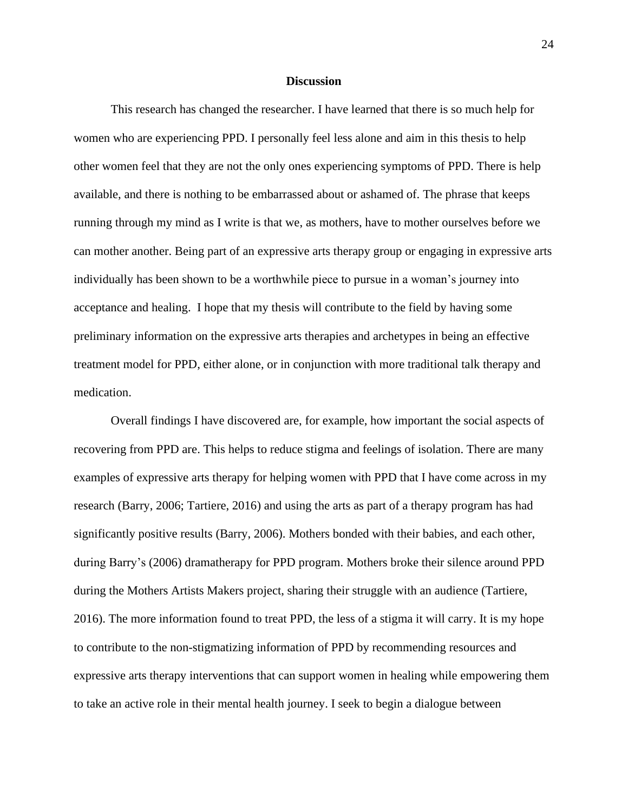#### **Discussion**

This research has changed the researcher. I have learned that there is so much help for women who are experiencing PPD. I personally feel less alone and aim in this thesis to help other women feel that they are not the only ones experiencing symptoms of PPD. There is help available, and there is nothing to be embarrassed about or ashamed of. The phrase that keeps running through my mind as I write is that we, as mothers, have to mother ourselves before we can mother another. Being part of an expressive arts therapy group or engaging in expressive arts individually has been shown to be a worthwhile piece to pursue in a woman's journey into acceptance and healing. I hope that my thesis will contribute to the field by having some preliminary information on the expressive arts therapies and archetypes in being an effective treatment model for PPD, either alone, or in conjunction with more traditional talk therapy and medication.

Overall findings I have discovered are, for example, how important the social aspects of recovering from PPD are. This helps to reduce stigma and feelings of isolation. There are many examples of expressive arts therapy for helping women with PPD that I have come across in my research (Barry, 2006; Tartiere, 2016) and using the arts as part of a therapy program has had significantly positive results (Barry, 2006). Mothers bonded with their babies, and each other, during Barry's (2006) dramatherapy for PPD program. Mothers broke their silence around PPD during the Mothers Artists Makers project, sharing their struggle with an audience (Tartiere, 2016). The more information found to treat PPD, the less of a stigma it will carry. It is my hope to contribute to the non-stigmatizing information of PPD by recommending resources and expressive arts therapy interventions that can support women in healing while empowering them to take an active role in their mental health journey. I seek to begin a dialogue between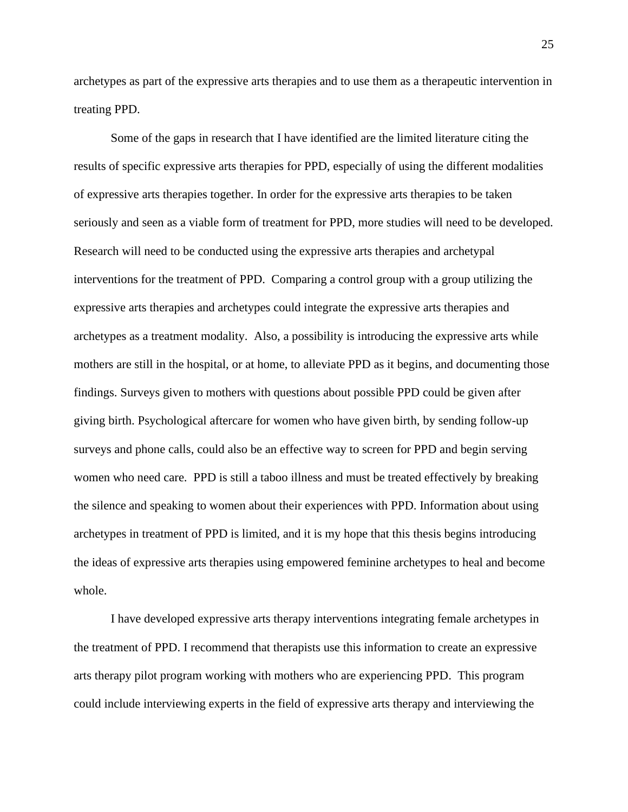archetypes as part of the expressive arts therapies and to use them as a therapeutic intervention in treating PPD.

Some of the gaps in research that I have identified are the limited literature citing the results of specific expressive arts therapies for PPD, especially of using the different modalities of expressive arts therapies together. In order for the expressive arts therapies to be taken seriously and seen as a viable form of treatment for PPD, more studies will need to be developed. Research will need to be conducted using the expressive arts therapies and archetypal interventions for the treatment of PPD. Comparing a control group with a group utilizing the expressive arts therapies and archetypes could integrate the expressive arts therapies and archetypes as a treatment modality. Also, a possibility is introducing the expressive arts while mothers are still in the hospital, or at home, to alleviate PPD as it begins, and documenting those findings. Surveys given to mothers with questions about possible PPD could be given after giving birth. Psychological aftercare for women who have given birth, by sending follow-up surveys and phone calls, could also be an effective way to screen for PPD and begin serving women who need care. PPD is still a taboo illness and must be treated effectively by breaking the silence and speaking to women about their experiences with PPD. Information about using archetypes in treatment of PPD is limited, and it is my hope that this thesis begins introducing the ideas of expressive arts therapies using empowered feminine archetypes to heal and become whole.

I have developed expressive arts therapy interventions integrating female archetypes in the treatment of PPD. I recommend that therapists use this information to create an expressive arts therapy pilot program working with mothers who are experiencing PPD. This program could include interviewing experts in the field of expressive arts therapy and interviewing the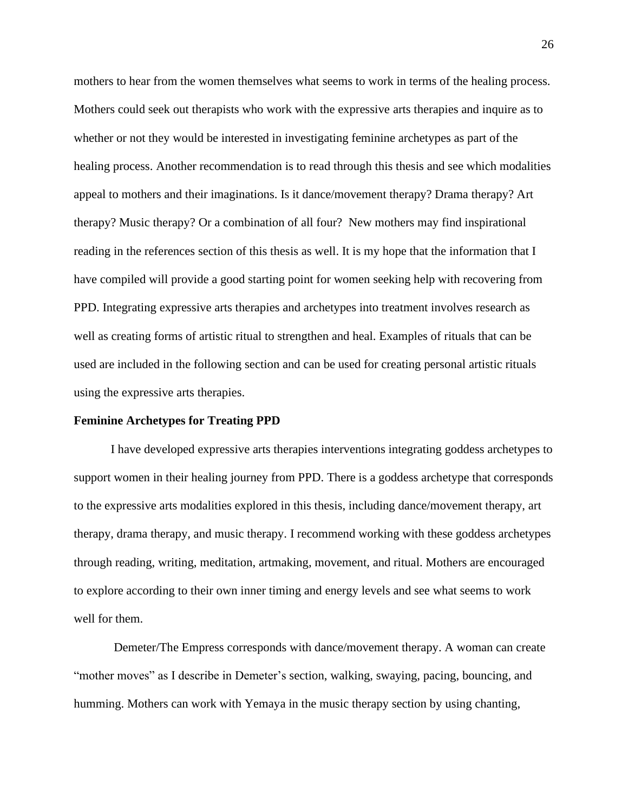mothers to hear from the women themselves what seems to work in terms of the healing process. Mothers could seek out therapists who work with the expressive arts therapies and inquire as to whether or not they would be interested in investigating feminine archetypes as part of the healing process. Another recommendation is to read through this thesis and see which modalities appeal to mothers and their imaginations. Is it dance/movement therapy? Drama therapy? Art therapy? Music therapy? Or a combination of all four? New mothers may find inspirational reading in the references section of this thesis as well. It is my hope that the information that I have compiled will provide a good starting point for women seeking help with recovering from PPD. Integrating expressive arts therapies and archetypes into treatment involves research as well as creating forms of artistic ritual to strengthen and heal. Examples of rituals that can be used are included in the following section and can be used for creating personal artistic rituals using the expressive arts therapies.

#### **Feminine Archetypes for Treating PPD**

I have developed expressive arts therapies interventions integrating goddess archetypes to support women in their healing journey from PPD. There is a goddess archetype that corresponds to the expressive arts modalities explored in this thesis, including dance/movement therapy, art therapy, drama therapy, and music therapy. I recommend working with these goddess archetypes through reading, writing, meditation, artmaking, movement, and ritual. Mothers are encouraged to explore according to their own inner timing and energy levels and see what seems to work well for them.

Demeter/The Empress corresponds with dance/movement therapy. A woman can create "mother moves" as I describe in Demeter's section, walking, swaying, pacing, bouncing, and humming. Mothers can work with Yemaya in the music therapy section by using chanting,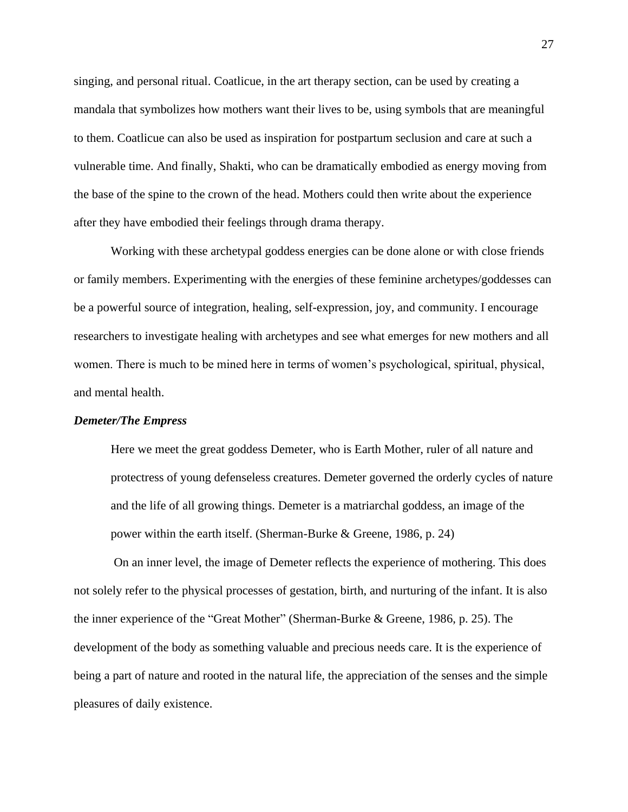singing, and personal ritual. Coatlicue, in the art therapy section, can be used by creating a mandala that symbolizes how mothers want their lives to be, using symbols that are meaningful to them. Coatlicue can also be used as inspiration for postpartum seclusion and care at such a vulnerable time. And finally, Shakti, who can be dramatically embodied as energy moving from the base of the spine to the crown of the head. Mothers could then write about the experience after they have embodied their feelings through drama therapy.

Working with these archetypal goddess energies can be done alone or with close friends or family members. Experimenting with the energies of these feminine archetypes/goddesses can be a powerful source of integration, healing, self-expression, joy, and community. I encourage researchers to investigate healing with archetypes and see what emerges for new mothers and all women. There is much to be mined here in terms of women's psychological, spiritual, physical, and mental health.

#### *Demeter/The Empress*

Here we meet the great goddess Demeter, who is Earth Mother, ruler of all nature and protectress of young defenseless creatures. Demeter governed the orderly cycles of nature and the life of all growing things. Demeter is a matriarchal goddess, an image of the power within the earth itself. (Sherman-Burke & Greene, 1986, p. 24)

On an inner level, the image of Demeter reflects the experience of mothering. This does not solely refer to the physical processes of gestation, birth, and nurturing of the infant. It is also the inner experience of the "Great Mother" (Sherman-Burke & Greene, 1986, p. 25). The development of the body as something valuable and precious needs care. It is the experience of being a part of nature and rooted in the natural life, the appreciation of the senses and the simple pleasures of daily existence.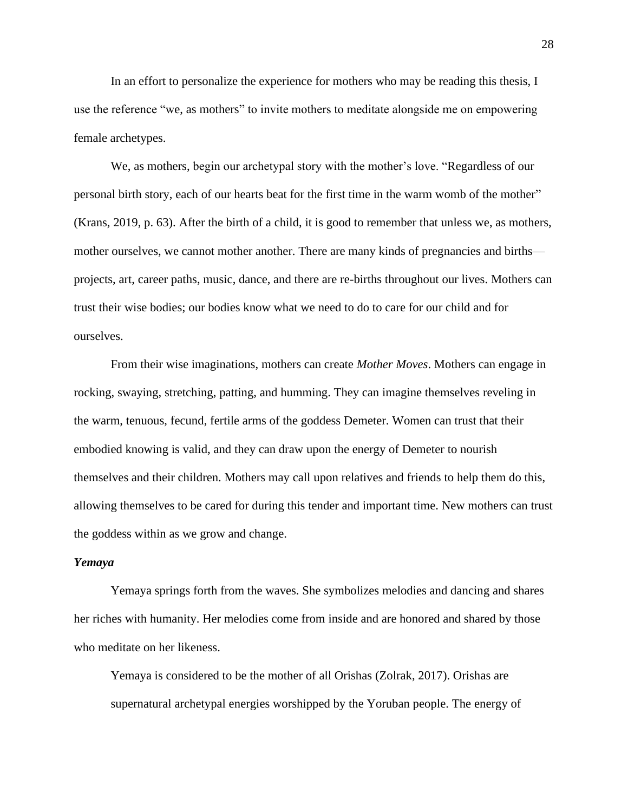In an effort to personalize the experience for mothers who may be reading this thesis, I use the reference "we, as mothers" to invite mothers to meditate alongside me on empowering female archetypes.

We, as mothers, begin our archetypal story with the mother's love. "Regardless of our personal birth story, each of our hearts beat for the first time in the warm womb of the mother" (Krans, 2019, p. 63). After the birth of a child, it is good to remember that unless we, as mothers, mother ourselves, we cannot mother another. There are many kinds of pregnancies and births projects, art, career paths, music, dance, and there are re-births throughout our lives. Mothers can trust their wise bodies; our bodies know what we need to do to care for our child and for ourselves.

From their wise imaginations, mothers can create *Mother Moves*. Mothers can engage in rocking, swaying, stretching, patting, and humming. They can imagine themselves reveling in the warm, tenuous, fecund, fertile arms of the goddess Demeter. Women can trust that their embodied knowing is valid, and they can draw upon the energy of Demeter to nourish themselves and their children. Mothers may call upon relatives and friends to help them do this, allowing themselves to be cared for during this tender and important time. New mothers can trust the goddess within as we grow and change.

#### *Yemaya*

Yemaya springs forth from the waves. She symbolizes melodies and dancing and shares her riches with humanity. Her melodies come from inside and are honored and shared by those who meditate on her likeness.

Yemaya is considered to be the mother of all Orishas (Zolrak, 2017). Orishas are supernatural archetypal energies worshipped by the Yoruban people. The energy of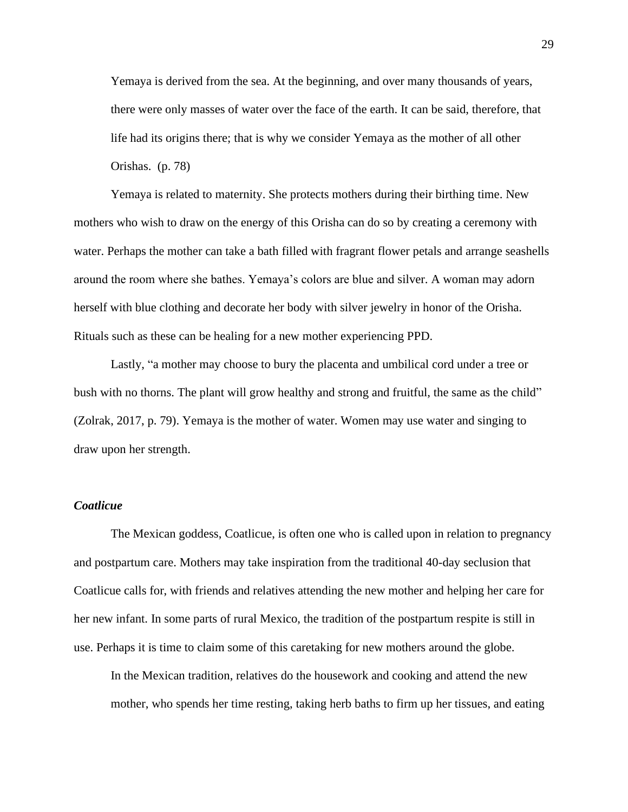Yemaya is derived from the sea. At the beginning, and over many thousands of years, there were only masses of water over the face of the earth. It can be said, therefore, that life had its origins there; that is why we consider Yemaya as the mother of all other Orishas. (p. 78)

Yemaya is related to maternity. She protects mothers during their birthing time. New mothers who wish to draw on the energy of this Orisha can do so by creating a ceremony with water. Perhaps the mother can take a bath filled with fragrant flower petals and arrange seashells around the room where she bathes. Yemaya's colors are blue and silver. A woman may adorn herself with blue clothing and decorate her body with silver jewelry in honor of the Orisha. Rituals such as these can be healing for a new mother experiencing PPD.

Lastly, "a mother may choose to bury the placenta and umbilical cord under a tree or bush with no thorns. The plant will grow healthy and strong and fruitful, the same as the child" (Zolrak, 2017, p. 79). Yemaya is the mother of water. Women may use water and singing to draw upon her strength.

#### *Coatlicue*

The Mexican goddess, Coatlicue, is often one who is called upon in relation to pregnancy and postpartum care. Mothers may take inspiration from the traditional 40-day seclusion that Coatlicue calls for, with friends and relatives attending the new mother and helping her care for her new infant. In some parts of rural Mexico, the tradition of the postpartum respite is still in use. Perhaps it is time to claim some of this caretaking for new mothers around the globe.

In the Mexican tradition, relatives do the housework and cooking and attend the new mother, who spends her time resting, taking herb baths to firm up her tissues, and eating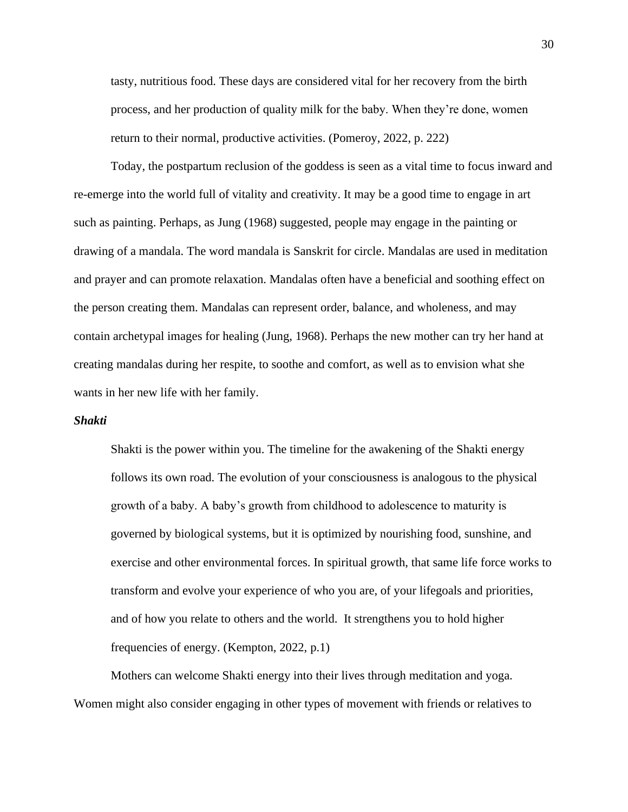tasty, nutritious food. These days are considered vital for her recovery from the birth process, and her production of quality milk for the baby. When they're done, women return to their normal, productive activities. (Pomeroy, 2022, p. 222)

Today, the postpartum reclusion of the goddess is seen as a vital time to focus inward and re-emerge into the world full of vitality and creativity. It may be a good time to engage in art such as painting. Perhaps, as Jung (1968) suggested, people may engage in the painting or drawing of a mandala. The word mandala is Sanskrit for circle. Mandalas are used in meditation and prayer and can promote relaxation. Mandalas often have a beneficial and soothing effect on the person creating them. Mandalas can represent order, balance, and wholeness, and may contain archetypal images for healing (Jung, 1968). Perhaps the new mother can try her hand at creating mandalas during her respite, to soothe and comfort, as well as to envision what she wants in her new life with her family.

#### *Shakti*

Shakti is the power within you. The timeline for the awakening of the Shakti energy follows its own road. The evolution of your consciousness is analogous to the physical growth of a baby. A baby's growth from childhood to adolescence to maturity is governed by biological systems, but it is optimized by nourishing food, sunshine, and exercise and other environmental forces. In spiritual growth, that same life force works to transform and evolve your experience of who you are, of your lifegoals and priorities, and of how you relate to others and the world. It strengthens you to hold higher frequencies of energy. (Kempton, 2022, p.1)

Mothers can welcome Shakti energy into their lives through meditation and yoga. Women might also consider engaging in other types of movement with friends or relatives to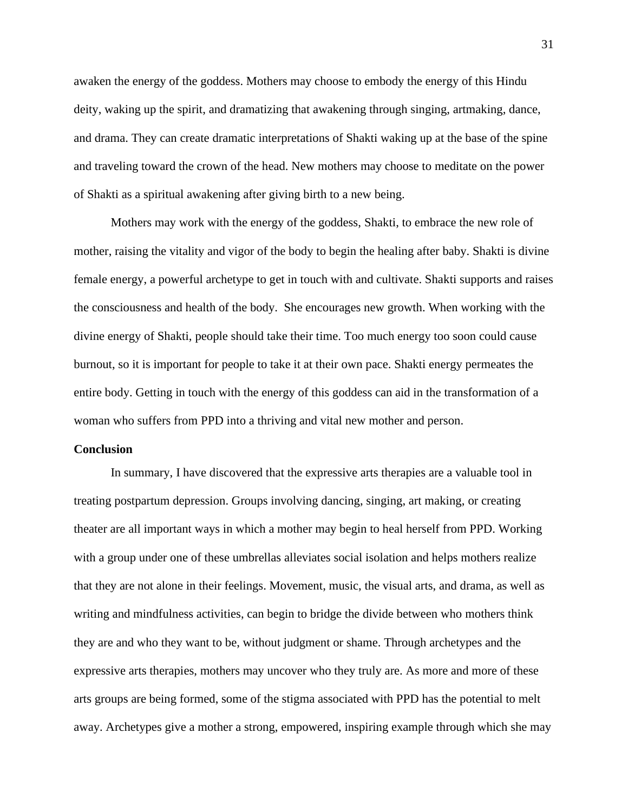awaken the energy of the goddess. Mothers may choose to embody the energy of this Hindu deity, waking up the spirit, and dramatizing that awakening through singing, artmaking, dance, and drama. They can create dramatic interpretations of Shakti waking up at the base of the spine and traveling toward the crown of the head. New mothers may choose to meditate on the power of Shakti as a spiritual awakening after giving birth to a new being.

Mothers may work with the energy of the goddess, Shakti, to embrace the new role of mother, raising the vitality and vigor of the body to begin the healing after baby. Shakti is divine female energy, a powerful archetype to get in touch with and cultivate. Shakti supports and raises the consciousness and health of the body. She encourages new growth. When working with the divine energy of Shakti, people should take their time. Too much energy too soon could cause burnout, so it is important for people to take it at their own pace. Shakti energy permeates the entire body. Getting in touch with the energy of this goddess can aid in the transformation of a woman who suffers from PPD into a thriving and vital new mother and person.

#### **Conclusion**

In summary, I have discovered that the expressive arts therapies are a valuable tool in treating postpartum depression. Groups involving dancing, singing, art making, or creating theater are all important ways in which a mother may begin to heal herself from PPD. Working with a group under one of these umbrellas alleviates social isolation and helps mothers realize that they are not alone in their feelings. Movement, music, the visual arts, and drama, as well as writing and mindfulness activities, can begin to bridge the divide between who mothers think they are and who they want to be, without judgment or shame. Through archetypes and the expressive arts therapies, mothers may uncover who they truly are. As more and more of these arts groups are being formed, some of the stigma associated with PPD has the potential to melt away. Archetypes give a mother a strong, empowered, inspiring example through which she may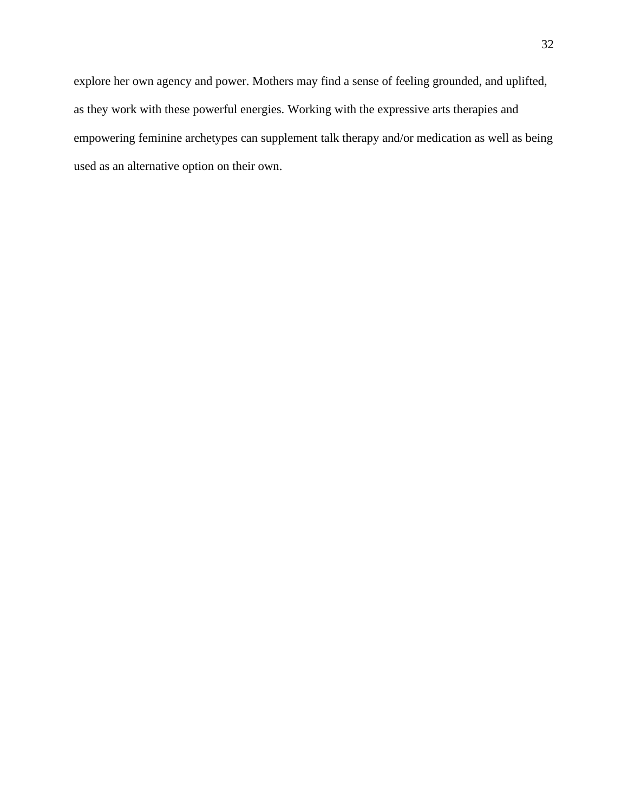explore her own agency and power. Mothers may find a sense of feeling grounded, and uplifted, as they work with these powerful energies. Working with the expressive arts therapies and empowering feminine archetypes can supplement talk therapy and/or medication as well as being used as an alternative option on their own.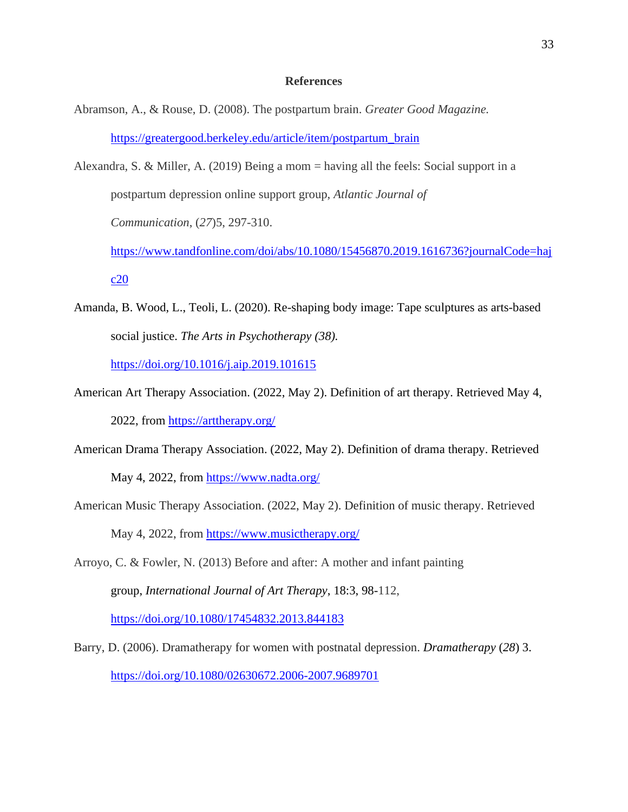#### **References**

- Abramson, A., & Rouse, D. (2008). The postpartum brain. *Greater Good Magazine.*  [https://greatergood.berkeley.edu/article/item/postpartum\\_brain](https://greatergood.berkeley.edu/article/item/postpartum_brain)
- Alexandra, S. & Miller, A. (2019) Being a mom = having all the feels: Social support in a postpartum depression online support group, *Atlantic Journal of Communication*, (*27*)5, 297-310. [https://www.tandfonline.com/doi/abs/10.1080/15456870.2019.1616736?journalCode=haj](https://www.tandfonline.com/doi/abs/10.1080/15456870.2019.1616736?journalCode=hajc20)

[c20](https://www.tandfonline.com/doi/abs/10.1080/15456870.2019.1616736?journalCode=hajc20)

Amanda, B. Wood, L., Teoli, L. (2020). Re-shaping body image: Tape sculptures as arts-based social justice. *The Arts in Psychotherapy (38).* 

<https://doi.org/10.1016/j.aip.2019.101615>

- American Art Therapy Association. (2022, May 2). Definition of art therapy. Retrieved May 4, 2022, from<https://arttherapy.org/>
- American Drama Therapy Association. (2022, May 2). Definition of drama therapy. Retrieved May 4, 2022, from<https://www.nadta.org/>
- American Music Therapy Association. (2022, May 2). Definition of music therapy. Retrieved May 4, 2022, from<https://www.musictherapy.org/>
- Arroyo, C. & Fowler, N. (2013) Before and after: A mother and infant painting group, *International Journal of Art Therapy*, 18:3, 98-112, <https://doi.org/10.1080/17454832.2013.844183>
- Barry, D. (2006). Dramatherapy for women with postnatal depression. *Dramatherapy* (*28*) 3. <https://doi.org/10.1080/02630672.2006-2007.9689701>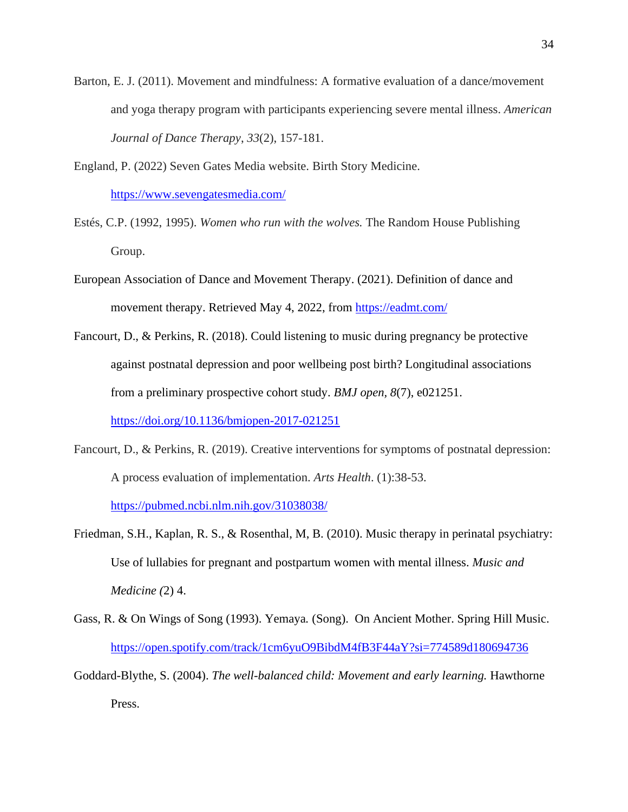- Barton, E. J. (2011). Movement and mindfulness: A formative evaluation of a dance/movement and yoga therapy program with participants experiencing severe mental illness. *American Journal of Dance Therapy*, *33*(2), 157-181.
- England, P. (2022) Seven Gates Media website. Birth Story Medicine. <https://www.sevengatesmedia.com/>
- Estés, C.P. (1992, 1995). *Women who run with the wolves.* The Random House Publishing Group.
- European Association of Dance and Movement Therapy. (2021). Definition of dance and movement therapy. Retrieved May 4, 2022, from<https://eadmt.com/>
- Fancourt, D., & Perkins, R. (2018). Could listening to music during pregnancy be protective against postnatal depression and poor wellbeing post birth? Longitudinal associations from a preliminary prospective cohort study. *BMJ open, 8*(7), e021251.

<https://doi.org/10.1136/bmjopen-2017-021251>

Fancourt, D., & Perkins, R. (2019). Creative interventions for symptoms of postnatal depression: A process evaluation of implementation. *Arts Health*. (1):38-53.

<https://pubmed.ncbi.nlm.nih.gov/31038038/>

- Friedman, S.H., Kaplan, R. S., & Rosenthal, M, B. (2010). Music therapy in perinatal psychiatry: Use of lullabies for pregnant and postpartum women with mental illness. *Music and Medicine (*2) 4.
- Gass, R. & On Wings of Song (1993). Yemaya*.* (Song).On Ancient Mother. Spring Hill Music. <https://open.spotify.com/track/1cm6yuO9BibdM4fB3F44aY?si=774589d180694736>
- Goddard-Blythe, S. (2004). *The well-balanced child: Movement and early learning.* Hawthorne Press.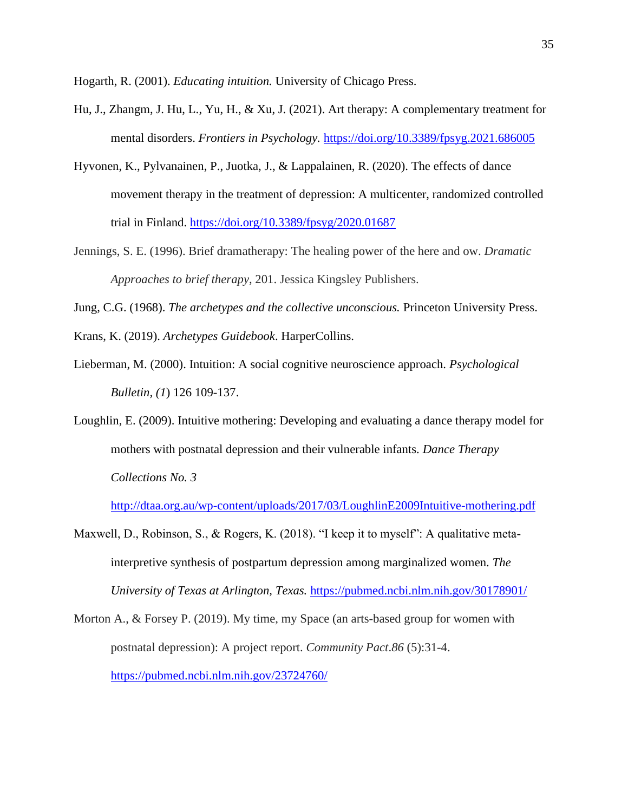Hogarth, R. (2001). *Educating intuition.* University of Chicago Press.

- Hu, J., Zhangm, J. Hu, L., Yu, H., & Xu, J. (2021). Art therapy: A complementary treatment for mental disorders. *Frontiers in Psychology.* <https://doi.org/10.3389/fpsyg.2021.686005>
- Hyvonen, K., Pylvanainen, P., Juotka, J., & Lappalainen, R. (2020). The effects of dance movement therapy in the treatment of depression: A multicenter, randomized controlled trial in Finland. <https://doi.org/10.3389/fpsyg/2020.01687>
- Jennings, S. E. (1996). Brief dramatherapy: The healing power of the here and ow. *Dramatic Approaches to brief therapy*, 201. Jessica Kingsley Publishers.
- Jung, C.G. (1968). *The archetypes and the collective unconscious.* Princeton University Press.
- Krans, K. (2019). *Archetypes Guidebook*. HarperCollins.
- Lieberman, M. (2000). Intuition: A social cognitive neuroscience approach. *Psychological Bulletin, (1*) 126 109-137.
- Loughlin, E. (2009). Intuitive mothering: Developing and evaluating a dance therapy model for mothers with postnatal depression and their vulnerable infants. *Dance Therapy Collections No. 3*

<http://dtaa.org.au/wp-content/uploads/2017/03/LoughlinE2009Intuitive-mothering.pdf>

- Maxwell, D., Robinson, S., & Rogers, K. (2018). "I keep it to myself": A qualitative metainterpretive synthesis of postpartum depression among marginalized women. *The University of Texas at Arlington, Texas.* <https://pubmed.ncbi.nlm.nih.gov/30178901/>
- Morton A., & Forsey P. (2019). My time, my Space (an arts-based group for women with postnatal depression): A project report. *Community Pact*.*86* (5):31-4. <https://pubmed.ncbi.nlm.nih.gov/23724760/>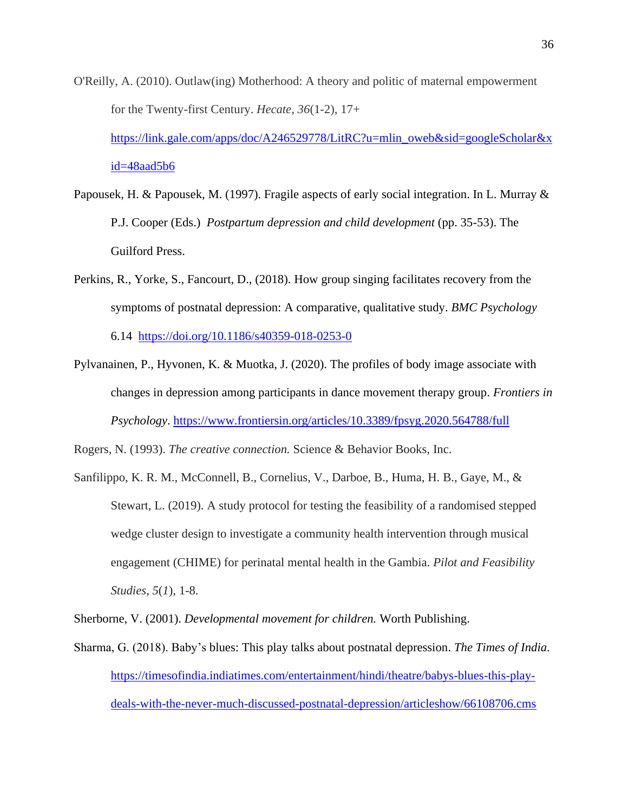- O'Reilly, A. (2010). Outlaw(ing) Motherhood: A theory and politic of maternal empowerment for the Twenty-first Century. *Hecate*, *36*(1-2), 17+ [https://link.gale.com/apps/doc/A246529778/LitRC?u=mlin\\_oweb&sid=googleScholar&x](https://link.gale.com/apps/doc/A246529778/LitRC?u=mlin_oweb&sid=googleScholar&xid=48aad5b6) [id=48aad5b6](https://link.gale.com/apps/doc/A246529778/LitRC?u=mlin_oweb&sid=googleScholar&xid=48aad5b6)
- Papousek, H. & Papousek, M. (1997). Fragile aspects of early social integration. In L. Murray & P.J. Cooper (Eds.) *Postpartum depression and child development* (pp. 35-53). The Guilford Press.
- Perkins, R., Yorke, S., Fancourt, D., (2018). How group singing facilitates recovery from the symptoms of postnatal depression: A comparative, qualitative study. *BMC Psychology* 6.14 <https://doi.org/10.1186/s40359-018-0253-0>
- Pylvanainen, P., Hyvonen, K. & Muotka, J. (2020). The profiles of body image associate with changes in depression among participants in dance movement therapy group. *Frontiers in Psychology*. <https://www.frontiersin.org/articles/10.3389/fpsyg.2020.564788/full>

Rogers, N. (1993). *The creative connection.* Science & Behavior Books, Inc.

Sanfilippo, K. R. M., McConnell, B., Cornelius, V., Darboe, B., Huma, H. B., Gaye, M., & Stewart, L. (2019). A study protocol for testing the feasibility of a randomised stepped wedge cluster design to investigate a community health intervention through musical engagement (CHIME) for perinatal mental health in the Gambia. *Pilot and Feasibility Studies*, *5*(*1*), 1-8.

Sherborne, V. (2001). *Developmental movement for children.* Worth Publishing.

Sharma, G. (2018). Baby's blues: This play talks about postnatal depression. *The Times of India*. [https://timesofindia.indiatimes.com/entertainment/hindi/theatre/babys-blues-this-play](https://timesofindia.indiatimes.com/entertainment/hindi/theatre/babys-blues-this-play-deals-with-the-never-much-discussed-postnatal-depression/articleshow/66108706.cms)[deals-with-the-never-much-discussed-postnatal-depression/articleshow/66108706.cms](https://timesofindia.indiatimes.com/entertainment/hindi/theatre/babys-blues-this-play-deals-with-the-never-much-discussed-postnatal-depression/articleshow/66108706.cms)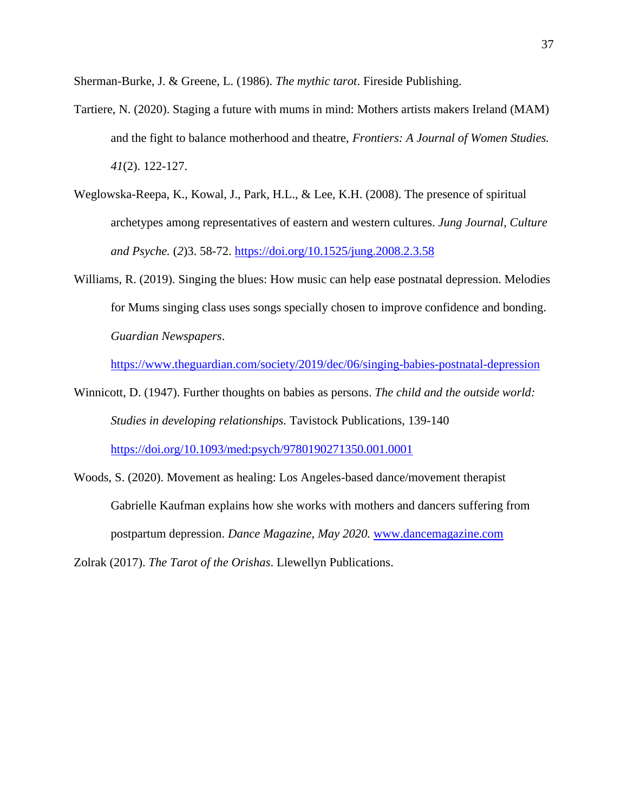Sherman-Burke, J. & Greene, L. (1986). *The mythic tarot*. Fireside Publishing.

- Tartiere, N. (2020). Staging a future with mums in mind: Mothers artists makers Ireland (MAM) and the fight to balance motherhood and theatre, *Frontiers: A Journal of Women Studies. 41*(2). 122-127.
- Weglowska-Reepa, K., Kowal, J., Park, H.L., & Lee, K.H. (2008). The presence of spiritual archetypes among representatives of eastern and western cultures. *Jung Journal, Culture and Psyche.* (*2*)3. 58-72.<https://doi.org/10.1525/jung.2008.2.3.58>
- Williams, R. (2019). Singing the blues: How music can help ease postnatal depression. Melodies for Mums singing class uses songs specially chosen to improve confidence and bonding. *Guardian Newspapers*.

<https://www.theguardian.com/society/2019/dec/06/singing-babies-postnatal-depression>

- Winnicott, D. (1947). Further thoughts on babies as persons. *The child and the outside world: Studies in developing relationships.* Tavistock Publications, 139-140 <https://doi.org/10.1093/med:psych/9780190271350.001.0001>
- Woods, S. (2020). Movement as healing: Los Angeles-based dance/movement therapist Gabrielle Kaufman explains how she works with mothers and dancers suffering from postpartum depression. *Dance Magazine, May 2020.* [www.dancemagazine.com](http://www.dancemagazine.com/)

Zolrak (2017). *The Tarot of the Orishas*. Llewellyn Publications.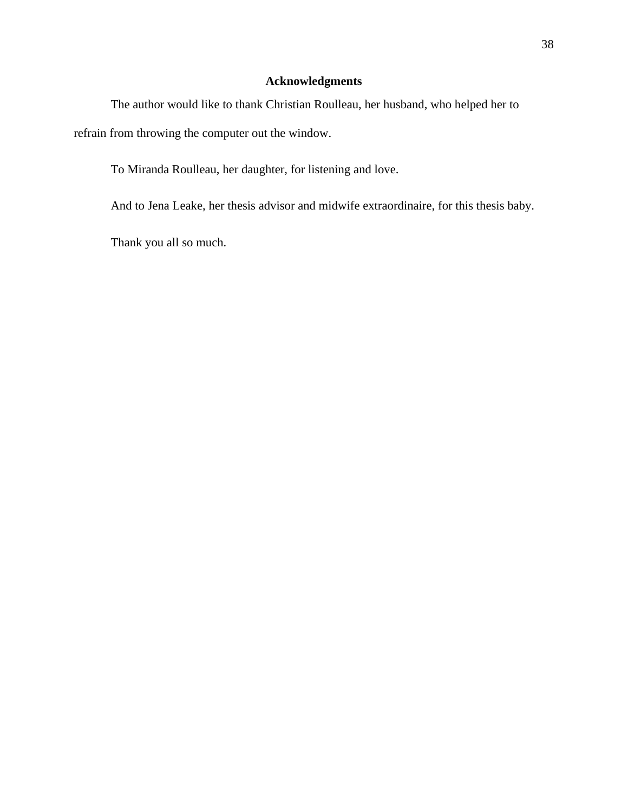## **Acknowledgments**

The author would like to thank Christian Roulleau, her husband, who helped her to refrain from throwing the computer out the window.

To Miranda Roulleau, her daughter, for listening and love.

And to Jena Leake, her thesis advisor and midwife extraordinaire, for this thesis baby.

Thank you all so much.